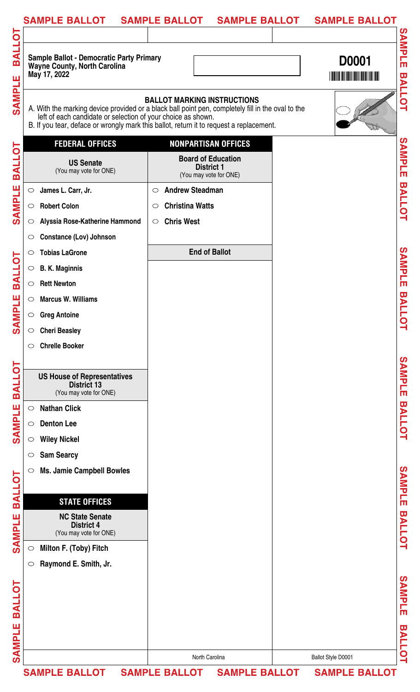|               | <b>SAMPLE BALLOT</b>                                                                                                                                                                                                                                         | SAMPLE BALLOT SAMPLE BALLOT                                              |                      | <b>SAMPLE BALLOT</b> |                         |
|---------------|--------------------------------------------------------------------------------------------------------------------------------------------------------------------------------------------------------------------------------------------------------------|--------------------------------------------------------------------------|----------------------|----------------------|-------------------------|
|               |                                                                                                                                                                                                                                                              |                                                                          |                      |                      |                         |
| <b>BALLOT</b> | <b>Sample Ballot - Democratic Party Primary</b><br>Wayne County, North Carolina<br>May 17, 2022                                                                                                                                                              |                                                                          |                      | <b>D0001</b>         | <b>SAMPLE</b>           |
| <b>SAMPLE</b> | A. With the marking device provided or a black ball point pen, completely fill in the oval to the<br>left of each candidate or selection of your choice as shown.<br>B. If you tear, deface or wrongly mark this ballot, return it to request a replacement. | <b>BALLOT MARKING INSTRUCTIONS</b>                                       |                      |                      | <b>BALLOT</b>           |
|               | <b>FEDERAL OFFICES</b>                                                                                                                                                                                                                                       | <b>NONPARTISAN OFFICES</b>                                               |                      |                      |                         |
| <b>BALLOT</b> | <b>US Senate</b><br>(You may vote for ONE)                                                                                                                                                                                                                   | <b>Board of Education</b><br><b>District 1</b><br>(You may vote for ONE) |                      |                      | SAMPLE                  |
|               | James L. Carr, Jr.<br>$\circ$                                                                                                                                                                                                                                | <b>Andrew Steadman</b><br>$\circ$                                        |                      |                      |                         |
| <b>SAMPLE</b> | <b>Robert Colon</b><br>$\bigcirc$                                                                                                                                                                                                                            | <b>Christina Watts</b><br>$\circ$                                        |                      |                      | <b>BALLOT</b>           |
|               | Alyssia Rose-Katherine Hammond<br>$\circ$                                                                                                                                                                                                                    | <b>Chris West</b><br>$\circ$                                             |                      |                      |                         |
|               | <b>Constance (Lov) Johnson</b>                                                                                                                                                                                                                               |                                                                          |                      |                      |                         |
|               | <b>Tobias LaGrone</b><br>$\circ$                                                                                                                                                                                                                             | <b>End of Ballot</b>                                                     |                      |                      |                         |
| <b>BALLOT</b> | <b>B. K. Maginnis</b><br>$\bigcirc$                                                                                                                                                                                                                          |                                                                          |                      |                      | SAMPLE                  |
|               | <b>Rett Newton</b><br>$\circ$                                                                                                                                                                                                                                |                                                                          |                      |                      |                         |
| <b>NPLE</b>   | <b>Marcus W. Williams</b><br>$\circ$                                                                                                                                                                                                                         |                                                                          |                      |                      | <b>BALLC</b>            |
|               | <b>Greg Antoine</b><br>$\circ$                                                                                                                                                                                                                               |                                                                          |                      |                      |                         |
| รี            | <b>Cheri Beasley</b><br>$\bigcirc$                                                                                                                                                                                                                           |                                                                          |                      |                      | ម                       |
|               | <b>Chrelle Booker</b><br>$\circ$                                                                                                                                                                                                                             |                                                                          |                      |                      |                         |
|               |                                                                                                                                                                                                                                                              |                                                                          |                      |                      |                         |
| <b>BALLOT</b> | <b>US House of Representatives</b><br><b>District 13</b><br>(You may vote for ONE)                                                                                                                                                                           |                                                                          |                      |                      | SAMPLE                  |
|               | <b>Nathan Click</b><br>$\circ$                                                                                                                                                                                                                               |                                                                          |                      |                      |                         |
| <b>SAMPLE</b> | <b>Denton Lee</b><br>$\circ$                                                                                                                                                                                                                                 |                                                                          |                      |                      | <b>BALLOT</b>           |
|               | <b>Wiley Nickel</b><br>$\circ$                                                                                                                                                                                                                               |                                                                          |                      |                      |                         |
|               | <b>Sam Searcy</b><br>$\circ$                                                                                                                                                                                                                                 |                                                                          |                      |                      |                         |
| <b>BALLOT</b> | <b>Ms. Jamie Campbell Bowles</b><br>$\circ$                                                                                                                                                                                                                  |                                                                          |                      |                      | SAMPLE                  |
|               | <b>STATE OFFICES</b>                                                                                                                                                                                                                                         |                                                                          |                      |                      |                         |
| <b>SAMPLE</b> | <b>NC State Senate</b><br><b>District 4</b><br>(You may vote for ONE)                                                                                                                                                                                        |                                                                          |                      |                      | <b>BALLOT</b>           |
|               | Milton F. (Toby) Fitch<br>$\circ$                                                                                                                                                                                                                            |                                                                          |                      |                      |                         |
|               | Raymond E. Smith, Jr.<br>$\circ$                                                                                                                                                                                                                             |                                                                          |                      |                      |                         |
|               |                                                                                                                                                                                                                                                              |                                                                          |                      |                      |                         |
| <b>BALLOT</b> |                                                                                                                                                                                                                                                              |                                                                          |                      |                      | SAMPLE                  |
|               |                                                                                                                                                                                                                                                              |                                                                          |                      |                      |                         |
| Ш             |                                                                                                                                                                                                                                                              |                                                                          |                      |                      | $\overline{\mathbf{u}}$ |
|               |                                                                                                                                                                                                                                                              |                                                                          |                      |                      | <b>ALLOT</b>            |
| <b>SAMPL</b>  |                                                                                                                                                                                                                                                              | North Carolina                                                           |                      | Ballot Style D0001   |                         |
|               | <b>SAMPLE BALLOT</b>                                                                                                                                                                                                                                         | <b>SAMPLE BALLOT</b>                                                     | <b>SAMPLE BALLOT</b> | <b>SAMPLE BALLOT</b> |                         |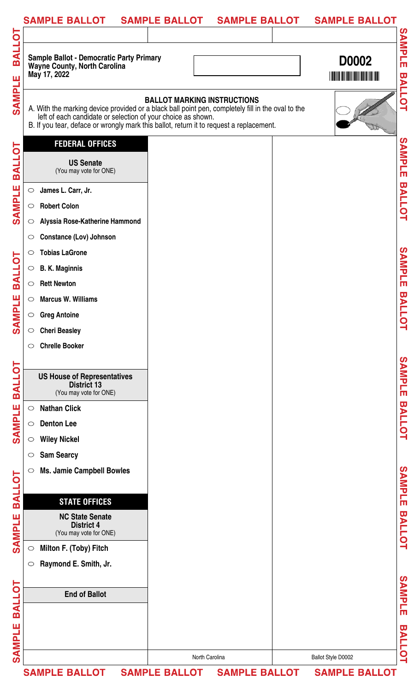| Sample Ballot - Democratic Party Primary<br>Wayne County, North Carolina<br>D0002<br>May 17, 2022<br><u> I III III III III III III III III II</u><br><b>BALLOT MARKING INSTRUCTIONS</b><br>A. With the marking device provided or a black ball point pen, completely fill in the oval to the<br>left of each candidate or selection of your choice as shown.<br>B. If you tear, deface or wrongly mark this ballot, return it to request a replacement.<br><b>FEDERAL OFFICES</b><br><b>US Senate</b><br>(You may vote for ONE)<br>James L. Carr, Jr.<br>$\bigcirc$<br><b>Robert Colon</b><br>$\circ$<br>Alyssia Rose-Katherine Hammond<br>$\circ$<br><b>Constance (Lov) Johnson</b><br>$\circ$<br><b>Tobias LaGrone</b><br>$\circ$<br><b>B. K. Maginnis</b><br>$\circ$<br><b>Rett Newton</b><br>$\circ$<br><b>Marcus W. Williams</b><br>$\circ$<br>$\circ$ Greg Antoine<br><b>Cheri Beasley</b><br>$\circ$<br><b>Chrelle Booker</b><br>$\circ$<br><b>US House of Representatives</b><br><b>District 13</b><br>(You may vote for ONE)<br><b>Nathan Click</b><br>$\circ$<br><b>Denton Lee</b><br>$\circ$<br><b>Wiley Nickel</b><br>$\circ$<br><b>Sam Searcy</b><br>$\circ$<br><b>Ms. Jamie Campbell Bowles</b><br>$\circ$<br><b>STATE OFFICES</b><br><b>NC State Senate</b><br><b>District 4</b><br>(You may vote for ONE)<br>Milton F. (Toby) Fitch<br>$\circ$<br>Raymond E. Smith, Jr.<br>$\circ$<br><b>End of Ballot</b><br>North Carolina<br>Ballot Style D0002<br>SAMPLE BALLOT SAMPLE BALLOT SAMPLE BALLOT SAMPLE BALLOT | SAMPLE BALLOT SAMPLE BALLOT SAMPLE BALLOT |  | <b>SAMPLE BALLOT</b> |  |
|-------------------------------------------------------------------------------------------------------------------------------------------------------------------------------------------------------------------------------------------------------------------------------------------------------------------------------------------------------------------------------------------------------------------------------------------------------------------------------------------------------------------------------------------------------------------------------------------------------------------------------------------------------------------------------------------------------------------------------------------------------------------------------------------------------------------------------------------------------------------------------------------------------------------------------------------------------------------------------------------------------------------------------------------------------------------------------------------------------------------------------------------------------------------------------------------------------------------------------------------------------------------------------------------------------------------------------------------------------------------------------------------------------------------------------------------------------------------------------------------------------------------------------|-------------------------------------------|--|----------------------|--|
|                                                                                                                                                                                                                                                                                                                                                                                                                                                                                                                                                                                                                                                                                                                                                                                                                                                                                                                                                                                                                                                                                                                                                                                                                                                                                                                                                                                                                                                                                                                               |                                           |  |                      |  |
|                                                                                                                                                                                                                                                                                                                                                                                                                                                                                                                                                                                                                                                                                                                                                                                                                                                                                                                                                                                                                                                                                                                                                                                                                                                                                                                                                                                                                                                                                                                               |                                           |  |                      |  |
|                                                                                                                                                                                                                                                                                                                                                                                                                                                                                                                                                                                                                                                                                                                                                                                                                                                                                                                                                                                                                                                                                                                                                                                                                                                                                                                                                                                                                                                                                                                               |                                           |  |                      |  |
|                                                                                                                                                                                                                                                                                                                                                                                                                                                                                                                                                                                                                                                                                                                                                                                                                                                                                                                                                                                                                                                                                                                                                                                                                                                                                                                                                                                                                                                                                                                               |                                           |  |                      |  |
|                                                                                                                                                                                                                                                                                                                                                                                                                                                                                                                                                                                                                                                                                                                                                                                                                                                                                                                                                                                                                                                                                                                                                                                                                                                                                                                                                                                                                                                                                                                               |                                           |  |                      |  |
|                                                                                                                                                                                                                                                                                                                                                                                                                                                                                                                                                                                                                                                                                                                                                                                                                                                                                                                                                                                                                                                                                                                                                                                                                                                                                                                                                                                                                                                                                                                               |                                           |  |                      |  |
|                                                                                                                                                                                                                                                                                                                                                                                                                                                                                                                                                                                                                                                                                                                                                                                                                                                                                                                                                                                                                                                                                                                                                                                                                                                                                                                                                                                                                                                                                                                               |                                           |  |                      |  |
|                                                                                                                                                                                                                                                                                                                                                                                                                                                                                                                                                                                                                                                                                                                                                                                                                                                                                                                                                                                                                                                                                                                                                                                                                                                                                                                                                                                                                                                                                                                               |                                           |  |                      |  |
|                                                                                                                                                                                                                                                                                                                                                                                                                                                                                                                                                                                                                                                                                                                                                                                                                                                                                                                                                                                                                                                                                                                                                                                                                                                                                                                                                                                                                                                                                                                               |                                           |  |                      |  |
|                                                                                                                                                                                                                                                                                                                                                                                                                                                                                                                                                                                                                                                                                                                                                                                                                                                                                                                                                                                                                                                                                                                                                                                                                                                                                                                                                                                                                                                                                                                               |                                           |  |                      |  |
|                                                                                                                                                                                                                                                                                                                                                                                                                                                                                                                                                                                                                                                                                                                                                                                                                                                                                                                                                                                                                                                                                                                                                                                                                                                                                                                                                                                                                                                                                                                               |                                           |  |                      |  |
|                                                                                                                                                                                                                                                                                                                                                                                                                                                                                                                                                                                                                                                                                                                                                                                                                                                                                                                                                                                                                                                                                                                                                                                                                                                                                                                                                                                                                                                                                                                               |                                           |  |                      |  |
|                                                                                                                                                                                                                                                                                                                                                                                                                                                                                                                                                                                                                                                                                                                                                                                                                                                                                                                                                                                                                                                                                                                                                                                                                                                                                                                                                                                                                                                                                                                               |                                           |  |                      |  |
|                                                                                                                                                                                                                                                                                                                                                                                                                                                                                                                                                                                                                                                                                                                                                                                                                                                                                                                                                                                                                                                                                                                                                                                                                                                                                                                                                                                                                                                                                                                               |                                           |  |                      |  |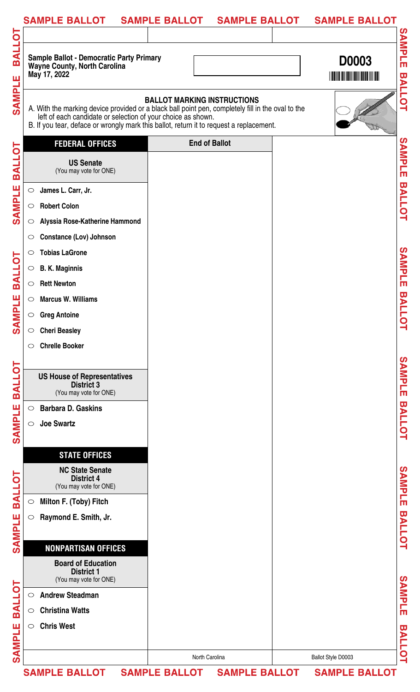|                         | SAMPLE BALLOT  SAMPLE BALLOT  SAMPLE BALLOT  SAMPLE BALLOT                                                                                                                                                                                                   |                                    |                    |                         |
|-------------------------|--------------------------------------------------------------------------------------------------------------------------------------------------------------------------------------------------------------------------------------------------------------|------------------------------------|--------------------|-------------------------|
| 6                       |                                                                                                                                                                                                                                                              |                                    |                    |                         |
| m                       | <b>Sample Ballot - Democratic Party Primary</b><br>Wayne County, North Carolina<br>May 17, 2022                                                                                                                                                              |                                    | <b>D0003</b>       | <b>SAMPLE</b>           |
| SAMP                    | A. With the marking device provided or a black ball point pen, completely fill in the oval to the<br>left of each candidate or selection of your choice as shown.<br>B. If you tear, deface or wrongly mark this ballot, return it to request a replacement. | <b>BALLOT MARKING INSTRUCTIONS</b> |                    | <b>BALLOT</b>           |
| q                       | <b>FEDERAL OFFICES</b>                                                                                                                                                                                                                                       | <b>End of Ballot</b>               |                    |                         |
| BA                      | <b>US Senate</b><br>(You may vote for ONE)                                                                                                                                                                                                                   |                                    |                    | <b>SAMPLE</b>           |
| SAMPI                   | James L. Carr, Jr.<br>$\circ$<br><b>Robert Colon</b><br>$\circ$                                                                                                                                                                                              |                                    |                    | <b>BALLOT</b>           |
|                         | Alyssia Rose-Katherine Hammond<br>$\circ$<br><b>Constance (Lov) Johnson</b>                                                                                                                                                                                  |                                    |                    |                         |
| TO LLA                  | <b>Tobias LaGrone</b><br>$\circ$<br><b>B. K. Maginnis</b><br>$\circ$                                                                                                                                                                                         |                                    |                    | SAMPLE                  |
| п<br><u>a</u>           | <b>Rett Newton</b><br>$\bigcirc$<br><b>Marcus W. Williams</b><br>$\circ$                                                                                                                                                                                     |                                    |                    | <b>BALLC</b>            |
| ვ<br>თ                  | <b>Greg Antoine</b><br>$\circ$<br><b>Cheri Beasley</b><br>$\bigcirc$<br><b>Chrelle Booker</b><br>$\circ$                                                                                                                                                     |                                    |                    | ٥                       |
| $\overline{\mathsf{D}}$ |                                                                                                                                                                                                                                                              |                                    |                    |                         |
| $\overline{\mathbf{A}}$ | <b>US House of Representatives</b><br><b>District 3</b><br>(You may vote for ONE)                                                                                                                                                                            |                                    |                    | SAMPLE                  |
| <b>SAMPLE</b>           | <b>Barbara D. Gaskins</b><br>$\circ$<br><b>Joe Swartz</b><br>$\circ$                                                                                                                                                                                         |                                    |                    | <b>BALLOT</b>           |
|                         | <b>STATE OFFICES</b>                                                                                                                                                                                                                                         |                                    |                    |                         |
| BALLOT                  | <b>NC State Senate</b><br><b>District 4</b><br>(You may vote for ONE)                                                                                                                                                                                        |                                    |                    | <b>SAMPLE</b>           |
|                         | Milton F. (Toby) Fitch<br>$\bigcirc$                                                                                                                                                                                                                         |                                    |                    |                         |
| SAMPLE                  | Raymond E. Smith, Jr.<br>$\circ$                                                                                                                                                                                                                             |                                    |                    | <b>BALLOT</b>           |
|                         | <b>NONPARTISAN OFFICES</b>                                                                                                                                                                                                                                   |                                    |                    |                         |
|                         | <b>Board of Education</b><br><b>District 1</b><br>(You may vote for ONE)                                                                                                                                                                                     |                                    |                    |                         |
| <u>io1</u>              | <b>Andrew Steadman</b><br>$\circ$                                                                                                                                                                                                                            |                                    |                    | SAMPLE                  |
| $\overline{\mathsf{A}}$ | <b>Christina Watts</b><br>$\circ$                                                                                                                                                                                                                            |                                    |                    |                         |
| π<br><b>RIND</b>        | <b>Chris West</b><br>$\circ$                                                                                                                                                                                                                                 |                                    |                    | ω<br><b>ALL</b>         |
|                         |                                                                                                                                                                                                                                                              | North Carolina                     | Ballot Style D0003 | $\overline{\mathbf{Q}}$ |
|                         | SAMPLE BALLOT SAMPLE BALLOT SAMPLE BALLOT SAMPLE BALLOT                                                                                                                                                                                                      |                                    |                    |                         |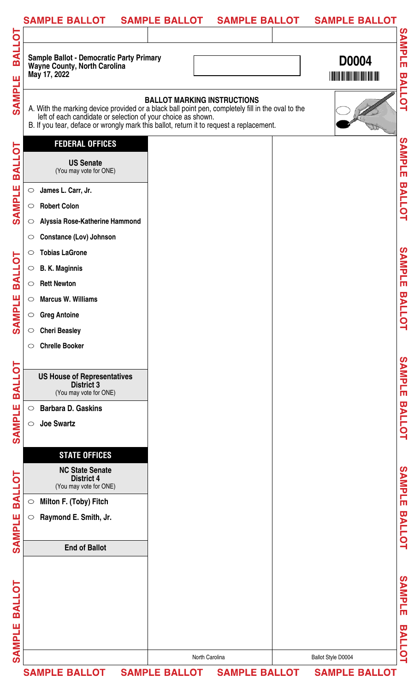| <b>ALLOT</b><br><b>m</b><br><b>SAMPLE</b><br><b>BALLOT</b><br><b>SAMPLE</b><br>$\circ$<br>$\circ$ | Sample Ballot - Democratic Party Primary<br>Wayne County, North Carolina<br>May 17, 2022<br>A. With the marking device provided or a black ball point pen, completely fill in the oval to the<br>left of each candidate or selection of your choice as shown.<br>B. If you tear, deface or wrongly mark this ballot, return it to request a replacement.<br><b>FEDERAL OFFICES</b><br><b>US Senate</b><br>(You may vote for ONE) | <b>BALLOT MARKING INSTRUCTIONS</b> |  | <b>D0004</b> |
|---------------------------------------------------------------------------------------------------|----------------------------------------------------------------------------------------------------------------------------------------------------------------------------------------------------------------------------------------------------------------------------------------------------------------------------------------------------------------------------------------------------------------------------------|------------------------------------|--|--------------|
|                                                                                                   |                                                                                                                                                                                                                                                                                                                                                                                                                                  |                                    |  |              |
|                                                                                                   |                                                                                                                                                                                                                                                                                                                                                                                                                                  |                                    |  |              |
|                                                                                                   |                                                                                                                                                                                                                                                                                                                                                                                                                                  |                                    |  |              |
| $\circ$                                                                                           | James L. Carr, Jr.<br><b>Robert Colon</b><br>Alyssia Rose-Katherine Hammond                                                                                                                                                                                                                                                                                                                                                      |                                    |  |              |
| $\circ$<br>$\circ$<br>$\circ$                                                                     | <b>Constance (Lov) Johnson</b><br><b>Tobias LaGrone</b><br><b>B. K. Maginnis</b>                                                                                                                                                                                                                                                                                                                                                 |                                    |  |              |
| <b>BALLOT</b><br>$\circ$<br><b>SAMPLE</b><br>$\circ$<br>$\circ$<br>$\circ$                        | <b>Rett Newton</b><br><b>Marcus W. Williams</b><br><b>Greg Antoine</b><br><b>Cheri Beasley</b>                                                                                                                                                                                                                                                                                                                                   |                                    |  |              |
| $\circ$                                                                                           | <b>Chrelle Booker</b><br><b>US House of Representatives</b><br><b>District 3</b>                                                                                                                                                                                                                                                                                                                                                 |                                    |  |              |
| SAMPLE<br>$\circ$<br>$\circ$                                                                      | (You may vote for ONE)<br><b>Barbara D. Gaskins</b><br><b>Joe Swartz</b>                                                                                                                                                                                                                                                                                                                                                         |                                    |  |              |
|                                                                                                   | <b>STATE OFFICES</b><br><b>NC State Senate</b><br><b>District 4</b><br>(You may vote for ONE)                                                                                                                                                                                                                                                                                                                                    |                                    |  |              |
| <b>BALLOT</b><br>$\bigcirc$<br>SAMPLE<br>$\bigcirc$                                               | Milton F. (Toby) Fitch<br>Raymond E. Smith, Jr.                                                                                                                                                                                                                                                                                                                                                                                  |                                    |  |              |
|                                                                                                   | <b>End of Ballot</b>                                                                                                                                                                                                                                                                                                                                                                                                             |                                    |  |              |
| <b>BALLOT</b><br><b>SAMPLE</b>                                                                    |                                                                                                                                                                                                                                                                                                                                                                                                                                  |                                    |  |              |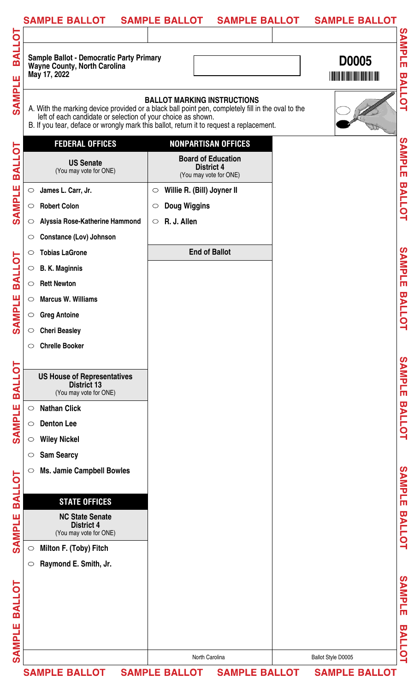|               | <b>SAMPLE BALLOT</b>                                                                                   | <b>SAMPLE BALLOT</b><br><b>SAMPLE BALLOT</b>                                                                                                                                                                                       | <b>SAMPLE BALLOT</b> |
|---------------|--------------------------------------------------------------------------------------------------------|------------------------------------------------------------------------------------------------------------------------------------------------------------------------------------------------------------------------------------|----------------------|
| <b>BALLOT</b> |                                                                                                        |                                                                                                                                                                                                                                    | <b>SAMPLE</b>        |
|               | <b>Sample Ballot - Democratic Party Primary</b><br><b>Wayne County, North Carolina</b><br>May 17, 2022 |                                                                                                                                                                                                                                    | <b>D0005</b>         |
| <b>SAMPLE</b> | left of each candidate or selection of your choice as shown.                                           | <b>BALLOT MARKING INSTRUCTIONS</b><br>A. With the marking device provided or a black ball point pen, completely fill in the oval to the<br>B. If you tear, deface or wrongly mark this ballot, return it to request a replacement. | <b>BALLOT</b>        |
|               | <b>FEDERAL OFFICES</b>                                                                                 | <b>NONPARTISAN OFFICES</b>                                                                                                                                                                                                         |                      |
| <b>BALLOT</b> | <b>US Senate</b><br>(You may vote for ONE)                                                             | <b>Board of Education</b><br><b>District 4</b><br>(You may vote for ONE)                                                                                                                                                           | SAMPLE               |
|               | James L. Carr, Jr.<br>$\circ$                                                                          | Willie R. (Bill) Joyner II<br>$\circ$                                                                                                                                                                                              |                      |
| <b>SAMPLE</b> | <b>Robert Colon</b><br>$\circ$                                                                         | <b>Doug Wiggins</b><br>$\circ$                                                                                                                                                                                                     | <b>BALLOT</b>        |
|               | Alyssia Rose-Katherine Hammond<br>$\circ$                                                              | R. J. Allen<br>$\bigcirc$                                                                                                                                                                                                          |                      |
|               | <b>Constance (Lov) Johnson</b><br>$\circ$                                                              |                                                                                                                                                                                                                                    |                      |
|               | <b>Tobias LaGrone</b><br>$\circ$                                                                       | <b>End of Ballot</b>                                                                                                                                                                                                               |                      |
| <b>BALLOT</b> | <b>B. K. Maginnis</b><br>$\circ$                                                                       |                                                                                                                                                                                                                                    | SAMPLE               |
|               | <b>Rett Newton</b><br>$\circ$                                                                          |                                                                                                                                                                                                                                    |                      |
| <b>NPLE</b>   | <b>Marcus W. Williams</b><br>$\circ$                                                                   |                                                                                                                                                                                                                                    | <b>BALLC</b>         |
|               | <b>Greg Antoine</b><br>$\circ$                                                                         |                                                                                                                                                                                                                                    |                      |
| ຽ             | <b>Cheri Beasley</b><br>$\bigcirc$                                                                     |                                                                                                                                                                                                                                    | ⊟                    |
|               | <b>Chrelle Booker</b><br>$\circ$                                                                       |                                                                                                                                                                                                                                    |                      |
|               |                                                                                                        |                                                                                                                                                                                                                                    |                      |
| <b>BALLOT</b> | <b>US House of Representatives</b><br><b>District 13</b><br>(You may vote for ONE)                     |                                                                                                                                                                                                                                    | SAMPLE               |
|               | <b>Nathan Click</b><br>$\circ$                                                                         |                                                                                                                                                                                                                                    |                      |
| <b>SAMPLE</b> | <b>Denton Lee</b><br>$\circ$                                                                           |                                                                                                                                                                                                                                    | <b>BALLOT</b>        |
|               | <b>Wiley Nickel</b><br>$\circ$                                                                         |                                                                                                                                                                                                                                    |                      |
|               | <b>Sam Searcy</b><br>$\circ$                                                                           |                                                                                                                                                                                                                                    |                      |
| <b>BALLOT</b> | <b>Ms. Jamie Campbell Bowles</b><br>$\circ$                                                            |                                                                                                                                                                                                                                    | SAMPLE               |
|               | <b>STATE OFFICES</b>                                                                                   |                                                                                                                                                                                                                                    |                      |
| ш             | <b>NC State Senate</b><br><b>District 4</b>                                                            |                                                                                                                                                                                                                                    |                      |
| <b>SAMPL</b>  | (You may vote for ONE)                                                                                 |                                                                                                                                                                                                                                    | <b>BALLOT</b>        |
|               | Milton F. (Toby) Fitch<br>$\circ$                                                                      |                                                                                                                                                                                                                                    |                      |
|               | Raymond E. Smith, Jr.<br>$\circ$                                                                       |                                                                                                                                                                                                                                    |                      |
|               |                                                                                                        |                                                                                                                                                                                                                                    |                      |
| <b>BALLOT</b> |                                                                                                        |                                                                                                                                                                                                                                    | <b>SAMPLE</b>        |
|               |                                                                                                        |                                                                                                                                                                                                                                    |                      |
| Ш             |                                                                                                        |                                                                                                                                                                                                                                    | ω                    |
| <b>SAMPL</b>  |                                                                                                        |                                                                                                                                                                                                                                    | <b>ALLOT</b>         |
|               |                                                                                                        | North Carolina                                                                                                                                                                                                                     | Ballot Style D0005   |
|               | <b>SAMPLE BALLOT</b>                                                                                   | SAMPLE BALLOT SAMPLE BALLOT                                                                                                                                                                                                        | <b>SAMPLE BALLOT</b> |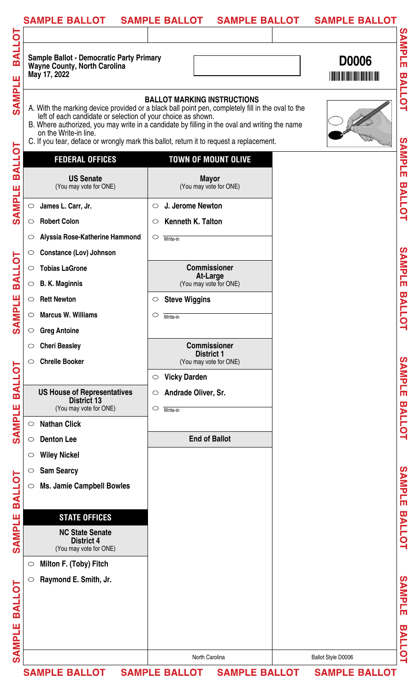|               | <b>SAMPLE BALLOT</b>                                                                                   | <b>SAMPLE BALLOT</b><br><b>SAMPLE BALLOT</b>                                                                                                                                                                                                                                                                                        | <b>SAMPLE BALLOT</b> |                         |
|---------------|--------------------------------------------------------------------------------------------------------|-------------------------------------------------------------------------------------------------------------------------------------------------------------------------------------------------------------------------------------------------------------------------------------------------------------------------------------|----------------------|-------------------------|
|               |                                                                                                        |                                                                                                                                                                                                                                                                                                                                     |                      |                         |
| <b>TOJIRE</b> | <b>Sample Ballot - Democratic Party Primary</b><br><b>Wayne County, North Carolina</b><br>May 17, 2022 |                                                                                                                                                                                                                                                                                                                                     | <b>D0006</b>         | SAMPLE                  |
| SAMPLE        | left of each candidate or selection of your choice as shown.<br>on the Write-in line.                  | <b>BALLOT MARKING INSTRUCTIONS</b><br>A. With the marking device provided or a black ball point pen, completely fill in the oval to the<br>B. Where authorized, you may write in a candidate by filling in the oval and writing the name<br>C. If you tear, deface or wrongly mark this ballot, return it to request a replacement. |                      | <b>BALLOT</b>           |
| b             | <b>FEDERAL OFFICES</b>                                                                                 | <b>TOWN OF MOUNT OLIVE</b>                                                                                                                                                                                                                                                                                                          |                      | <b>SAMPLE</b>           |
| <b>BALL</b>   | <b>US Senate</b><br>(You may vote for ONE)                                                             | <b>Mayor</b><br>(You may vote for ONE)                                                                                                                                                                                                                                                                                              |                      |                         |
| <b>SAMPLE</b> | James L. Carr, Jr.<br>$\circ$                                                                          | J. Jerome Newton<br>$\circ$                                                                                                                                                                                                                                                                                                         |                      | <b>BALLOT</b>           |
|               | <b>Robert Colon</b><br>$\circ$                                                                         | Kenneth K. Talton<br>$\circ$                                                                                                                                                                                                                                                                                                        |                      |                         |
|               | Alyssia Rose-Katherine Hammond<br>O                                                                    | $\circ$<br>Write-in                                                                                                                                                                                                                                                                                                                 |                      |                         |
|               | <b>Constance (Lov) Johnson</b><br>$\circ$                                                              |                                                                                                                                                                                                                                                                                                                                     |                      |                         |
| <b>BALLOT</b> | <b>Tobias LaGrone</b><br>$\bigcirc$                                                                    | <b>Commissioner</b>                                                                                                                                                                                                                                                                                                                 |                      | SAMPLE                  |
|               | <b>B. K. Maginnis</b><br>$\circ$                                                                       | <b>At-Large</b><br>(You may vote for ONE)                                                                                                                                                                                                                                                                                           |                      |                         |
|               | <b>Rett Newton</b><br>$\circ$                                                                          | <b>Steve Wiggins</b><br>$\circ$                                                                                                                                                                                                                                                                                                     |                      |                         |
| <b>MPLE</b>   | <b>Marcus W. Williams</b><br>$\circ$                                                                   | O<br>Write-in                                                                                                                                                                                                                                                                                                                       |                      | <b>BALLOT</b>           |
| $\mathbf{S}$  | <b>Greg Antoine</b><br>$\circ$                                                                         |                                                                                                                                                                                                                                                                                                                                     |                      |                         |
|               | <b>Cheri Beasley</b><br>$\circ$                                                                        | <b>Commissioner</b>                                                                                                                                                                                                                                                                                                                 |                      |                         |
|               | <b>Chrelle Booker</b><br>$\circ$                                                                       | <b>District 1</b><br>(You may vote for ONE)                                                                                                                                                                                                                                                                                         |                      |                         |
|               |                                                                                                        | <b>Vicky Darden</b><br>$\bigcirc$                                                                                                                                                                                                                                                                                                   |                      | SAMPLE                  |
| <b>BALLOT</b> | <b>US House of Representatives</b>                                                                     | Andrade Oliver, Sr.<br>$\circ$                                                                                                                                                                                                                                                                                                      |                      |                         |
|               | <b>District 13</b><br>(You may vote for ONE)                                                           | $\circ$<br>Write-in                                                                                                                                                                                                                                                                                                                 |                      |                         |
| <b>SAMPLE</b> | <b>Nathan Click</b><br>$\circ$                                                                         |                                                                                                                                                                                                                                                                                                                                     |                      | <b>BALLOT</b>           |
|               | <b>Denton Lee</b><br>$\circ$                                                                           | <b>End of Ballot</b>                                                                                                                                                                                                                                                                                                                |                      |                         |
|               | <b>Wiley Nickel</b><br>$\circ$                                                                         |                                                                                                                                                                                                                                                                                                                                     |                      |                         |
|               | <b>Sam Searcy</b><br>$\circ$                                                                           |                                                                                                                                                                                                                                                                                                                                     |                      |                         |
|               | <b>Ms. Jamie Campbell Bowles</b><br>$\circlearrowright$                                                |                                                                                                                                                                                                                                                                                                                                     |                      | SAMPLE                  |
| <b>BALLOT</b> |                                                                                                        |                                                                                                                                                                                                                                                                                                                                     |                      |                         |
|               | <b>STATE OFFICES</b>                                                                                   |                                                                                                                                                                                                                                                                                                                                     |                      |                         |
| SAMPLE        | <b>NC State Senate</b><br><b>District 4</b><br>(You may vote for ONE)                                  |                                                                                                                                                                                                                                                                                                                                     |                      | <b>BALLOT</b>           |
|               | Milton F. (Toby) Fitch<br>$\circ$                                                                      |                                                                                                                                                                                                                                                                                                                                     |                      |                         |
| <b>BALLOT</b> | Raymond E. Smith, Jr.<br>$\circlearrowright$                                                           |                                                                                                                                                                                                                                                                                                                                     |                      | SAMPLE                  |
|               |                                                                                                        |                                                                                                                                                                                                                                                                                                                                     |                      |                         |
| ш             |                                                                                                        |                                                                                                                                                                                                                                                                                                                                     |                      | $\overline{\mathbf{u}}$ |
| <b>SAMPL</b>  |                                                                                                        |                                                                                                                                                                                                                                                                                                                                     |                      | <b>ALLOT</b>            |
|               |                                                                                                        | North Carolina                                                                                                                                                                                                                                                                                                                      | Ballot Style D0006   |                         |
|               | <b>SAMPLE BALLOT</b>                                                                                   | <b>SAMPLE BALLOT</b><br><b>SAMPLE BALLOT</b>                                                                                                                                                                                                                                                                                        | <b>SAMPLE BALLOT</b> |                         |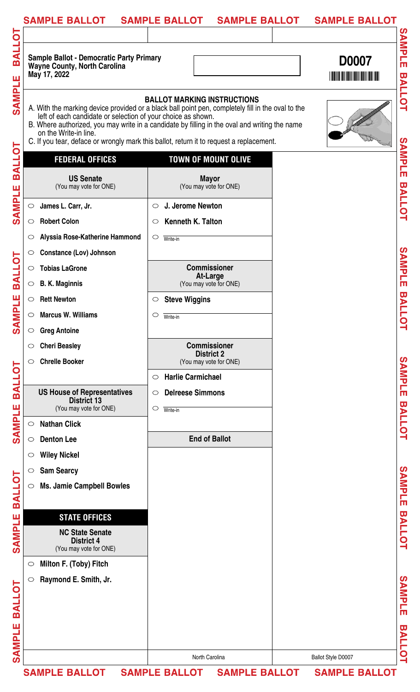| <b>SAMPLE BALLOT</b>                                                                                                    | <b>SAMPLE BALLOT</b><br><b>SAMPLE BALLOT</b>                                                                                                                                                                                                                                                                                        | <b>SAMPLE BALLOT</b> |                         |
|-------------------------------------------------------------------------------------------------------------------------|-------------------------------------------------------------------------------------------------------------------------------------------------------------------------------------------------------------------------------------------------------------------------------------------------------------------------------------|----------------------|-------------------------|
|                                                                                                                         |                                                                                                                                                                                                                                                                                                                                     |                      |                         |
| <b>TOJIRE</b><br><b>Sample Ballot - Democratic Party Primary</b><br><b>Wayne County, North Carolina</b><br>May 17, 2022 |                                                                                                                                                                                                                                                                                                                                     | <b>D0007</b>         | SAMPLE                  |
| SAMPLE<br>left of each candidate or selection of your choice as shown.<br>on the Write-in line.                         | <b>BALLOT MARKING INSTRUCTIONS</b><br>A. With the marking device provided or a black ball point pen, completely fill in the oval to the<br>B. Where authorized, you may write in a candidate by filling in the oval and writing the name<br>C. If you tear, deface or wrongly mark this ballot, return it to request a replacement. |                      | <b>BALLOT</b>           |
| b<br><b>FEDERAL OFFICES</b>                                                                                             | <b>TOWN OF MOUNT OLIVE</b>                                                                                                                                                                                                                                                                                                          |                      | SAMPLE                  |
| <b>BALL</b><br><b>US Senate</b><br>(You may vote for ONE)<br><b>SAMPLE</b>                                              | <b>Mayor</b><br>(You may vote for ONE)                                                                                                                                                                                                                                                                                              |                      | <b>BALLOT</b>           |
| James L. Carr, Jr.<br>$\circ$                                                                                           | J. Jerome Newton<br>$\circ$                                                                                                                                                                                                                                                                                                         |                      |                         |
| <b>Robert Colon</b><br>$\circ$                                                                                          | Kenneth K. Talton<br>$\circ$                                                                                                                                                                                                                                                                                                        |                      |                         |
| Alyssia Rose-Katherine Hammond<br>$\circ$                                                                               | $\circ$<br>Write-in                                                                                                                                                                                                                                                                                                                 |                      |                         |
| <b>Constance (Lov) Johnson</b><br>$\circ$                                                                               |                                                                                                                                                                                                                                                                                                                                     |                      |                         |
| <b>Tobias LaGrone</b><br>$\bigcirc$                                                                                     | <b>Commissioner</b>                                                                                                                                                                                                                                                                                                                 |                      | SAMPLE                  |
| <b>B. K. Maginnis</b><br>$\circ$                                                                                        | At-Large<br>(You may vote for ONE)                                                                                                                                                                                                                                                                                                  |                      |                         |
| <b>Rett Newton</b><br>$\circ$                                                                                           | <b>Steve Wiggins</b><br>$\circ$                                                                                                                                                                                                                                                                                                     |                      |                         |
| <b>Marcus W. Williams</b><br>$\circ$                                                                                    | O<br>Write-in                                                                                                                                                                                                                                                                                                                       |                      | <b>BALLOT</b>           |
| <b>Greg Antoine</b><br>$\circ$                                                                                          |                                                                                                                                                                                                                                                                                                                                     |                      |                         |
| <b>Cheri Beasley</b><br>$\circ$                                                                                         | <b>Commissioner</b>                                                                                                                                                                                                                                                                                                                 |                      |                         |
| <b>Chrelle Booker</b><br>$\circ$                                                                                        | <b>District 2</b><br>(You may vote for ONE)                                                                                                                                                                                                                                                                                         |                      |                         |
|                                                                                                                         | <b>Harlie Carmichael</b><br>$\circ$                                                                                                                                                                                                                                                                                                 |                      | SAMPLE                  |
| <b>US House of Representatives</b>                                                                                      | <b>Delreese Simmons</b><br>$\circ$                                                                                                                                                                                                                                                                                                  |                      |                         |
| <b>District 13</b><br>(You may vote for ONE)                                                                            | $\circ$<br>Write-in                                                                                                                                                                                                                                                                                                                 |                      |                         |
| <b>Nathan Click</b><br>$\circ$                                                                                          |                                                                                                                                                                                                                                                                                                                                     |                      | <b>BALLOT</b>           |
| <b>Denton Lee</b><br>$\circ$                                                                                            | <b>End of Ballot</b>                                                                                                                                                                                                                                                                                                                |                      |                         |
| <b>Wiley Nickel</b><br>$\circ$                                                                                          |                                                                                                                                                                                                                                                                                                                                     |                      |                         |
| <b>Sam Searcy</b><br>$\circ$                                                                                            |                                                                                                                                                                                                                                                                                                                                     |                      |                         |
| <b>Ms. Jamie Campbell Bowles</b><br>$\circ$                                                                             |                                                                                                                                                                                                                                                                                                                                     |                      | SAMPLE                  |
|                                                                                                                         |                                                                                                                                                                                                                                                                                                                                     |                      |                         |
| <b>STATE OFFICES</b>                                                                                                    |                                                                                                                                                                                                                                                                                                                                     |                      |                         |
| <b>NC State Senate</b>                                                                                                  |                                                                                                                                                                                                                                                                                                                                     |                      | <b>BALLOT</b>           |
| <b>District 4</b><br>(You may vote for ONE)                                                                             |                                                                                                                                                                                                                                                                                                                                     |                      |                         |
| Milton F. (Toby) Fitch<br>$\circlearrowright$                                                                           |                                                                                                                                                                                                                                                                                                                                     |                      |                         |
| Raymond E. Smith, Jr.<br>$\circlearrowright$                                                                            |                                                                                                                                                                                                                                                                                                                                     |                      |                         |
|                                                                                                                         |                                                                                                                                                                                                                                                                                                                                     |                      |                         |
|                                                                                                                         |                                                                                                                                                                                                                                                                                                                                     |                      | <b>SAMPLE</b>           |
|                                                                                                                         |                                                                                                                                                                                                                                                                                                                                     |                      | $\overline{\mathbf{u}}$ |
|                                                                                                                         |                                                                                                                                                                                                                                                                                                                                     |                      |                         |
|                                                                                                                         | North Carolina                                                                                                                                                                                                                                                                                                                      | Ballot Style D0007   | <b>ALLOT</b>            |
| <b>SAMPLE BALLOT</b>                                                                                                    | <b>SAMPLE BALLOT</b><br><b>SAMPLE BALLOT</b>                                                                                                                                                                                                                                                                                        | <b>SAMPLE BALLOT</b> |                         |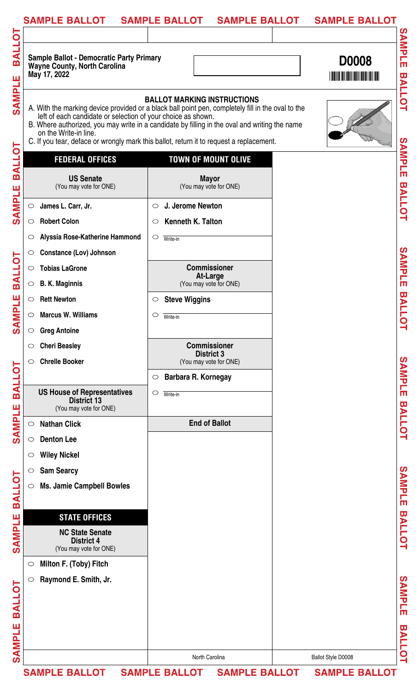| <b>SAMPLE BALLOT</b>                                                                                   | <b>SAMPLE BALLOT</b><br><b>SAMPLE BALLOT</b>                                                                                                                                                                                                                                                                                        | <b>SAMPLE BALLOT</b> |
|--------------------------------------------------------------------------------------------------------|-------------------------------------------------------------------------------------------------------------------------------------------------------------------------------------------------------------------------------------------------------------------------------------------------------------------------------------|----------------------|
|                                                                                                        |                                                                                                                                                                                                                                                                                                                                     |                      |
| <b>Sample Ballot - Democratic Party Primary</b><br><b>Wayne County, North Carolina</b><br>May 17, 2022 |                                                                                                                                                                                                                                                                                                                                     | <b>D0008</b>         |
| left of each candidate or selection of your choice as shown.<br>on the Write-in line.                  | <b>BALLOT MARKING INSTRUCTIONS</b><br>A. With the marking device provided or a black ball point pen, completely fill in the oval to the<br>B. Where authorized, you may write in a candidate by filling in the oval and writing the name<br>C. If you tear, deface or wrongly mark this ballot, return it to request a replacement. |                      |
| <b>FEDERAL OFFICES</b>                                                                                 | <b>TOWN OF MOUNT OLIVE</b>                                                                                                                                                                                                                                                                                                          |                      |
| <b>US Senate</b><br>(You may vote for ONE)                                                             | <b>Mayor</b><br>(You may vote for ONE)                                                                                                                                                                                                                                                                                              |                      |
| James L. Carr, Jr.<br>$\circ$                                                                          | J. Jerome Newton<br>$\circ$                                                                                                                                                                                                                                                                                                         |                      |
| <b>Robert Colon</b><br>$\circ$                                                                         | Kenneth K. Talton<br>$\circ$                                                                                                                                                                                                                                                                                                        |                      |
| Alyssia Rose-Katherine Hammond<br>O                                                                    | $\circ$<br>Write-in                                                                                                                                                                                                                                                                                                                 |                      |
| <b>Constance (Lov) Johnson</b><br>$\circ$                                                              |                                                                                                                                                                                                                                                                                                                                     |                      |
| <b>Tobias LaGrone</b><br>$\bigcirc$                                                                    | <b>Commissioner</b>                                                                                                                                                                                                                                                                                                                 |                      |
| <b>B. K. Maginnis</b><br>$\circ$                                                                       | <b>At-Large</b><br>(You may vote for ONE)                                                                                                                                                                                                                                                                                           |                      |
| <b>Rett Newton</b><br>$\circ$                                                                          | <b>Steve Wiggins</b><br>$\circ$                                                                                                                                                                                                                                                                                                     |                      |
| <b>Marcus W. Williams</b><br>$\circ$                                                                   | O<br>Write-in                                                                                                                                                                                                                                                                                                                       |                      |
| <b>Greg Antoine</b><br>$\circ$                                                                         |                                                                                                                                                                                                                                                                                                                                     |                      |
| <b>Cheri Beasley</b><br>$\circ$                                                                        | <b>Commissioner</b>                                                                                                                                                                                                                                                                                                                 |                      |
| <b>Chrelle Booker</b><br>$\circ$                                                                       | <b>District 3</b><br>(You may vote for ONE)                                                                                                                                                                                                                                                                                         |                      |
|                                                                                                        | Barbara R. Kornegay<br>$\circ$                                                                                                                                                                                                                                                                                                      |                      |
| <b>US House of Representatives</b>                                                                     | $\circ$<br>Write-in                                                                                                                                                                                                                                                                                                                 |                      |
| <b>District 13</b><br>(You may vote for ONE)                                                           |                                                                                                                                                                                                                                                                                                                                     |                      |
| <b>Nathan Click</b><br>$\circ$                                                                         | <b>End of Ballot</b>                                                                                                                                                                                                                                                                                                                |                      |
| <b>Denton Lee</b><br>$\circ$                                                                           |                                                                                                                                                                                                                                                                                                                                     |                      |
| <b>Wiley Nickel</b><br>$\circ$                                                                         |                                                                                                                                                                                                                                                                                                                                     |                      |
| <b>Sam Searcy</b><br>$\circ$                                                                           |                                                                                                                                                                                                                                                                                                                                     |                      |
| <b>Ms. Jamie Campbell Bowles</b><br>$\circlearrowright$                                                |                                                                                                                                                                                                                                                                                                                                     |                      |
|                                                                                                        |                                                                                                                                                                                                                                                                                                                                     |                      |
| <b>STATE OFFICES</b>                                                                                   |                                                                                                                                                                                                                                                                                                                                     |                      |
| <b>NC State Senate</b><br><b>District 4</b><br>(You may vote for ONE)                                  |                                                                                                                                                                                                                                                                                                                                     |                      |
| Milton F. (Toby) Fitch<br>$\circ$                                                                      |                                                                                                                                                                                                                                                                                                                                     |                      |
| Raymond E. Smith, Jr.<br>$\circlearrowright$                                                           |                                                                                                                                                                                                                                                                                                                                     |                      |
|                                                                                                        |                                                                                                                                                                                                                                                                                                                                     |                      |
|                                                                                                        |                                                                                                                                                                                                                                                                                                                                     |                      |
|                                                                                                        | North Carolina                                                                                                                                                                                                                                                                                                                      | Ballot Style D0008   |
| <b>SAMPLE BALLOT</b>                                                                                   | <b>SAMPLE BALLOT</b><br><b>SAMPLE BALLOT</b>                                                                                                                                                                                                                                                                                        | <b>SAMPLE BALLOT</b> |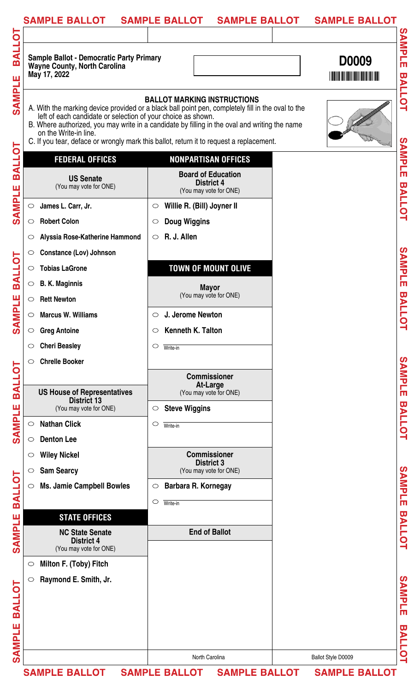| <b>SAMPLE BALLOT</b>                                                                                   | <b>SAMPLE BALLOT</b><br><b>SAMPLE BALLOT</b>                                                                                                                                                                                                                                                                                        | <b>SAMPLE BALLOT</b>                                            |
|--------------------------------------------------------------------------------------------------------|-------------------------------------------------------------------------------------------------------------------------------------------------------------------------------------------------------------------------------------------------------------------------------------------------------------------------------------|-----------------------------------------------------------------|
| <b>Sample Ballot - Democratic Party Primary</b><br><b>Wayne County, North Carolina</b><br>May 17, 2022 |                                                                                                                                                                                                                                                                                                                                     | SAMPLE<br><b>D0009</b><br><b>THE REAL PROPERTY OF A PARTIES</b> |
| left of each candidate or selection of your choice as shown.<br>on the Write-in line.                  | <b>BALLOT MARKING INSTRUCTIONS</b><br>A. With the marking device provided or a black ball point pen, completely fill in the oval to the<br>B. Where authorized, you may write in a candidate by filling in the oval and writing the name<br>C. If you tear, deface or wrongly mark this ballot, return it to request a replacement. | <b>BALLOT</b>                                                   |
| <b>FEDERAL OFFICES</b>                                                                                 | <b>NONPARTISAN OFFICES</b>                                                                                                                                                                                                                                                                                                          | SAMPLE                                                          |
| <b>BALLOT</b><br><b>US Senate</b><br>(You may vote for ONE)<br><b>SAMPLE</b>                           | <b>Board of Education</b><br><b>District 4</b><br>(You may vote for ONE)                                                                                                                                                                                                                                                            | <b>BALLOT</b>                                                   |
| James L. Carr, Jr.<br>$\bigcirc$                                                                       | Willie R. (Bill) Joyner II<br>$\circ$                                                                                                                                                                                                                                                                                               |                                                                 |
| <b>Robert Colon</b><br>$\circ$                                                                         | <b>Doug Wiggins</b><br>$\circ$                                                                                                                                                                                                                                                                                                      |                                                                 |
| Alyssia Rose-Katherine Hammond                                                                         | R. J. Allen<br>$\circ$                                                                                                                                                                                                                                                                                                              |                                                                 |
| <b>Constance (Lov) Johnson</b><br>$\circ$                                                              |                                                                                                                                                                                                                                                                                                                                     |                                                                 |
| <b>Tobias LaGrone</b><br>$\circ$                                                                       | <b>TOWN OF MOUNT OLIVE</b>                                                                                                                                                                                                                                                                                                          | SAMPLE                                                          |
| <b>B. K. Maginnis</b><br>$\circ$                                                                       | <b>Mayor</b>                                                                                                                                                                                                                                                                                                                        |                                                                 |
| <b>Rett Newton</b><br>$\circ$                                                                          | (You may vote for ONE)                                                                                                                                                                                                                                                                                                              |                                                                 |
| <b>Marcus W. Williams</b><br>$\circ$                                                                   | J. Jerome Newton<br>$\circ$                                                                                                                                                                                                                                                                                                         | <b>BALLC</b>                                                    |
| <b>Greg Antoine</b><br>$\circ$                                                                         | Kenneth K. Talton<br>$\circ$                                                                                                                                                                                                                                                                                                        | ⊒                                                               |
| <b>Cheri Beasley</b><br>$\circ$                                                                        | $\circ$<br>Write-in                                                                                                                                                                                                                                                                                                                 |                                                                 |
| <b>Chrelle Booker</b><br>$\circ$                                                                       |                                                                                                                                                                                                                                                                                                                                     |                                                                 |
|                                                                                                        | <b>Commissioner</b>                                                                                                                                                                                                                                                                                                                 | SAMPLE                                                          |
| <b>US House of Representatives</b>                                                                     | At-Large<br>(You may vote for ONE)                                                                                                                                                                                                                                                                                                  |                                                                 |
| <b>District 13</b><br>(You may vote for ONE)                                                           | <b>Steve Wiggins</b><br>$\circ$                                                                                                                                                                                                                                                                                                     |                                                                 |
| <b>Nathan Click</b><br>$\bigcirc$                                                                      | $\circ$<br>Write-in                                                                                                                                                                                                                                                                                                                 | <b>BALLOT</b>                                                   |
| <b>Denton Lee</b><br>$\circ$                                                                           |                                                                                                                                                                                                                                                                                                                                     |                                                                 |
| <b>Wiley Nickel</b><br>$\circ$                                                                         | <b>Commissioner</b>                                                                                                                                                                                                                                                                                                                 |                                                                 |
| <b>Sam Searcy</b><br>$\circ$                                                                           | <b>District 3</b><br>(You may vote for ONE)                                                                                                                                                                                                                                                                                         |                                                                 |
| <b>Ms. Jamie Campbell Bowles</b><br>$\circ$                                                            | Barbara R. Kornegay<br>$\circ$                                                                                                                                                                                                                                                                                                      | SAMPLE                                                          |
|                                                                                                        | $\circ$<br>Write-in                                                                                                                                                                                                                                                                                                                 |                                                                 |
| <b>STATE OFFICES</b>                                                                                   |                                                                                                                                                                                                                                                                                                                                     |                                                                 |
| <b>NC State Senate</b><br><b>District 4</b><br>(You may vote for ONE)                                  | <b>End of Ballot</b>                                                                                                                                                                                                                                                                                                                | <b>BALLOT</b>                                                   |
| Milton F. (Toby) Fitch<br>$\circ$                                                                      |                                                                                                                                                                                                                                                                                                                                     |                                                                 |
| Raymond E. Smith, Jr.                                                                                  |                                                                                                                                                                                                                                                                                                                                     | SAMPLE                                                          |
|                                                                                                        |                                                                                                                                                                                                                                                                                                                                     |                                                                 |
|                                                                                                        |                                                                                                                                                                                                                                                                                                                                     | $\overline{\mathbf{u}}$                                         |
|                                                                                                        |                                                                                                                                                                                                                                                                                                                                     | <b>ALLOT</b>                                                    |
|                                                                                                        | North Carolina                                                                                                                                                                                                                                                                                                                      | Ballot Style D0009                                              |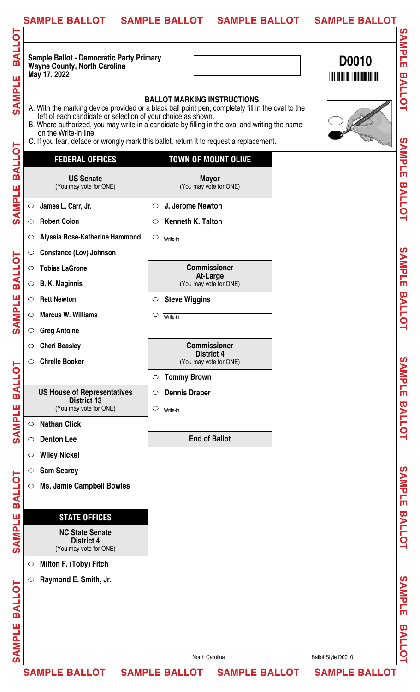| <b>TOJIRE</b><br><b>Sample Ballot - Democratic Party Primary</b><br>D0010<br><b>Wayne County, North Carolina</b><br>May 17, 2022<br>SAMPLE<br><b>BALLOT MARKING INSTRUCTIONS</b><br>A. With the marking device provided or a black ball point pen, completely fill in the oval to the<br>left of each candidate or selection of your choice as shown.<br>B. Where authorized, you may write in a candidate by filling in the oval and writing the name<br>on the Write-in line.<br>C. If you tear, deface or wrongly mark this ballot, return it to request a replacement.<br>b<br><b>BALL</b><br><b>FEDERAL OFFICES</b><br><b>TOWN OF MOUNT OLIVE</b><br><b>US Senate</b><br><b>Mayor</b><br>(You may vote for ONE)<br>(You may vote for ONE)<br><b>SAMPLE</b><br>James L. Carr, Jr.<br>J. Jerome Newton<br>$\circ$<br>$\circ$<br><b>Robert Colon</b><br>Kenneth K. Talton<br>$\circ$<br>$\circ$<br>Alyssia Rose-Katherine Hammond<br>$\circ$<br>O<br>Write-in<br><b>Constance (Lov) Johnson</b><br>$\circ$<br><b>BALLOT</b><br><b>Commissioner</b><br><b>Tobias LaGrone</b><br>$\bigcirc$<br><b>At-Large</b><br>(You may vote for ONE)<br><b>B. K. Maginnis</b><br>$\circ$<br><b>MPLE</b><br><b>Rett Newton</b><br><b>Steve Wiggins</b><br>$\circ$<br>$\circ$<br><b>Marcus W. Williams</b><br>$\circ$<br>O<br>Write-in<br>$\mathbf{S}$<br><b>Greg Antoine</b><br>$\circ$<br><b>Commissioner</b><br><b>Cheri Beasley</b><br>$\circ$<br><b>District 4</b><br><b>Chrelle Booker</b><br>(You may vote for ONE)<br>$\circ$<br><b>BALLOT</b><br><b>Tommy Brown</b><br>$\circ$<br><b>US House of Representatives</b><br><b>Dennis Draper</b><br>$\circ$<br><b>District 13</b><br><b>SAMPLE</b><br>(You may vote for ONE)<br>$\circ$<br>Write-in<br><b>Nathan Click</b><br>$\circ$<br><b>End of Ballot</b><br><b>Denton Lee</b><br>$\circ$<br><b>Wiley Nickel</b><br>$\circ$<br><b>Sam Searcy</b><br>$\circ$<br><b>BALLOT</b><br><b>Ms. Jamie Campbell Bowles</b><br>$\circlearrowright$<br>SAMPLE<br><b>STATE OFFICES</b><br><b>NC State Senate</b><br><b>District 4</b><br>(You may vote for ONE)<br>Milton F. (Toby) Fitch<br>$\circ$<br>Raymond E. Smith, Jr.<br>$\circlearrowright$ | <b>SAMPLE BALLOT</b><br><b>SAMPLE BALLOT</b> | <b>SAMPLE BALLOT</b>    |
|------------------------------------------------------------------------------------------------------------------------------------------------------------------------------------------------------------------------------------------------------------------------------------------------------------------------------------------------------------------------------------------------------------------------------------------------------------------------------------------------------------------------------------------------------------------------------------------------------------------------------------------------------------------------------------------------------------------------------------------------------------------------------------------------------------------------------------------------------------------------------------------------------------------------------------------------------------------------------------------------------------------------------------------------------------------------------------------------------------------------------------------------------------------------------------------------------------------------------------------------------------------------------------------------------------------------------------------------------------------------------------------------------------------------------------------------------------------------------------------------------------------------------------------------------------------------------------------------------------------------------------------------------------------------------------------------------------------------------------------------------------------------------------------------------------------------------------------------------------------------------------------------------------------------------------------------------------------------------------------------------------------------------------------------------------------------------------------------------------------------------------------------------------------------------------|----------------------------------------------|-------------------------|
|                                                                                                                                                                                                                                                                                                                                                                                                                                                                                                                                                                                                                                                                                                                                                                                                                                                                                                                                                                                                                                                                                                                                                                                                                                                                                                                                                                                                                                                                                                                                                                                                                                                                                                                                                                                                                                                                                                                                                                                                                                                                                                                                                                                    |                                              |                         |
|                                                                                                                                                                                                                                                                                                                                                                                                                                                                                                                                                                                                                                                                                                                                                                                                                                                                                                                                                                                                                                                                                                                                                                                                                                                                                                                                                                                                                                                                                                                                                                                                                                                                                                                                                                                                                                                                                                                                                                                                                                                                                                                                                                                    |                                              | SAMPLE                  |
|                                                                                                                                                                                                                                                                                                                                                                                                                                                                                                                                                                                                                                                                                                                                                                                                                                                                                                                                                                                                                                                                                                                                                                                                                                                                                                                                                                                                                                                                                                                                                                                                                                                                                                                                                                                                                                                                                                                                                                                                                                                                                                                                                                                    |                                              | <b>BALLOT</b>           |
|                                                                                                                                                                                                                                                                                                                                                                                                                                                                                                                                                                                                                                                                                                                                                                                                                                                                                                                                                                                                                                                                                                                                                                                                                                                                                                                                                                                                                                                                                                                                                                                                                                                                                                                                                                                                                                                                                                                                                                                                                                                                                                                                                                                    |                                              | SAMPLE                  |
|                                                                                                                                                                                                                                                                                                                                                                                                                                                                                                                                                                                                                                                                                                                                                                                                                                                                                                                                                                                                                                                                                                                                                                                                                                                                                                                                                                                                                                                                                                                                                                                                                                                                                                                                                                                                                                                                                                                                                                                                                                                                                                                                                                                    |                                              |                         |
|                                                                                                                                                                                                                                                                                                                                                                                                                                                                                                                                                                                                                                                                                                                                                                                                                                                                                                                                                                                                                                                                                                                                                                                                                                                                                                                                                                                                                                                                                                                                                                                                                                                                                                                                                                                                                                                                                                                                                                                                                                                                                                                                                                                    |                                              | <b>BALLOT</b>           |
|                                                                                                                                                                                                                                                                                                                                                                                                                                                                                                                                                                                                                                                                                                                                                                                                                                                                                                                                                                                                                                                                                                                                                                                                                                                                                                                                                                                                                                                                                                                                                                                                                                                                                                                                                                                                                                                                                                                                                                                                                                                                                                                                                                                    |                                              |                         |
|                                                                                                                                                                                                                                                                                                                                                                                                                                                                                                                                                                                                                                                                                                                                                                                                                                                                                                                                                                                                                                                                                                                                                                                                                                                                                                                                                                                                                                                                                                                                                                                                                                                                                                                                                                                                                                                                                                                                                                                                                                                                                                                                                                                    |                                              |                         |
|                                                                                                                                                                                                                                                                                                                                                                                                                                                                                                                                                                                                                                                                                                                                                                                                                                                                                                                                                                                                                                                                                                                                                                                                                                                                                                                                                                                                                                                                                                                                                                                                                                                                                                                                                                                                                                                                                                                                                                                                                                                                                                                                                                                    |                                              |                         |
|                                                                                                                                                                                                                                                                                                                                                                                                                                                                                                                                                                                                                                                                                                                                                                                                                                                                                                                                                                                                                                                                                                                                                                                                                                                                                                                                                                                                                                                                                                                                                                                                                                                                                                                                                                                                                                                                                                                                                                                                                                                                                                                                                                                    |                                              | SAMPLE                  |
|                                                                                                                                                                                                                                                                                                                                                                                                                                                                                                                                                                                                                                                                                                                                                                                                                                                                                                                                                                                                                                                                                                                                                                                                                                                                                                                                                                                                                                                                                                                                                                                                                                                                                                                                                                                                                                                                                                                                                                                                                                                                                                                                                                                    |                                              |                         |
|                                                                                                                                                                                                                                                                                                                                                                                                                                                                                                                                                                                                                                                                                                                                                                                                                                                                                                                                                                                                                                                                                                                                                                                                                                                                                                                                                                                                                                                                                                                                                                                                                                                                                                                                                                                                                                                                                                                                                                                                                                                                                                                                                                                    |                                              |                         |
|                                                                                                                                                                                                                                                                                                                                                                                                                                                                                                                                                                                                                                                                                                                                                                                                                                                                                                                                                                                                                                                                                                                                                                                                                                                                                                                                                                                                                                                                                                                                                                                                                                                                                                                                                                                                                                                                                                                                                                                                                                                                                                                                                                                    |                                              | <b>BALLOT</b>           |
|                                                                                                                                                                                                                                                                                                                                                                                                                                                                                                                                                                                                                                                                                                                                                                                                                                                                                                                                                                                                                                                                                                                                                                                                                                                                                                                                                                                                                                                                                                                                                                                                                                                                                                                                                                                                                                                                                                                                                                                                                                                                                                                                                                                    |                                              |                         |
|                                                                                                                                                                                                                                                                                                                                                                                                                                                                                                                                                                                                                                                                                                                                                                                                                                                                                                                                                                                                                                                                                                                                                                                                                                                                                                                                                                                                                                                                                                                                                                                                                                                                                                                                                                                                                                                                                                                                                                                                                                                                                                                                                                                    |                                              |                         |
|                                                                                                                                                                                                                                                                                                                                                                                                                                                                                                                                                                                                                                                                                                                                                                                                                                                                                                                                                                                                                                                                                                                                                                                                                                                                                                                                                                                                                                                                                                                                                                                                                                                                                                                                                                                                                                                                                                                                                                                                                                                                                                                                                                                    |                                              |                         |
|                                                                                                                                                                                                                                                                                                                                                                                                                                                                                                                                                                                                                                                                                                                                                                                                                                                                                                                                                                                                                                                                                                                                                                                                                                                                                                                                                                                                                                                                                                                                                                                                                                                                                                                                                                                                                                                                                                                                                                                                                                                                                                                                                                                    |                                              | SAMPLE                  |
|                                                                                                                                                                                                                                                                                                                                                                                                                                                                                                                                                                                                                                                                                                                                                                                                                                                                                                                                                                                                                                                                                                                                                                                                                                                                                                                                                                                                                                                                                                                                                                                                                                                                                                                                                                                                                                                                                                                                                                                                                                                                                                                                                                                    |                                              |                         |
|                                                                                                                                                                                                                                                                                                                                                                                                                                                                                                                                                                                                                                                                                                                                                                                                                                                                                                                                                                                                                                                                                                                                                                                                                                                                                                                                                                                                                                                                                                                                                                                                                                                                                                                                                                                                                                                                                                                                                                                                                                                                                                                                                                                    |                                              |                         |
|                                                                                                                                                                                                                                                                                                                                                                                                                                                                                                                                                                                                                                                                                                                                                                                                                                                                                                                                                                                                                                                                                                                                                                                                                                                                                                                                                                                                                                                                                                                                                                                                                                                                                                                                                                                                                                                                                                                                                                                                                                                                                                                                                                                    |                                              | <b>BALLOT</b>           |
|                                                                                                                                                                                                                                                                                                                                                                                                                                                                                                                                                                                                                                                                                                                                                                                                                                                                                                                                                                                                                                                                                                                                                                                                                                                                                                                                                                                                                                                                                                                                                                                                                                                                                                                                                                                                                                                                                                                                                                                                                                                                                                                                                                                    |                                              |                         |
|                                                                                                                                                                                                                                                                                                                                                                                                                                                                                                                                                                                                                                                                                                                                                                                                                                                                                                                                                                                                                                                                                                                                                                                                                                                                                                                                                                                                                                                                                                                                                                                                                                                                                                                                                                                                                                                                                                                                                                                                                                                                                                                                                                                    |                                              |                         |
|                                                                                                                                                                                                                                                                                                                                                                                                                                                                                                                                                                                                                                                                                                                                                                                                                                                                                                                                                                                                                                                                                                                                                                                                                                                                                                                                                                                                                                                                                                                                                                                                                                                                                                                                                                                                                                                                                                                                                                                                                                                                                                                                                                                    |                                              |                         |
|                                                                                                                                                                                                                                                                                                                                                                                                                                                                                                                                                                                                                                                                                                                                                                                                                                                                                                                                                                                                                                                                                                                                                                                                                                                                                                                                                                                                                                                                                                                                                                                                                                                                                                                                                                                                                                                                                                                                                                                                                                                                                                                                                                                    |                                              | SAMPLE                  |
|                                                                                                                                                                                                                                                                                                                                                                                                                                                                                                                                                                                                                                                                                                                                                                                                                                                                                                                                                                                                                                                                                                                                                                                                                                                                                                                                                                                                                                                                                                                                                                                                                                                                                                                                                                                                                                                                                                                                                                                                                                                                                                                                                                                    |                                              |                         |
|                                                                                                                                                                                                                                                                                                                                                                                                                                                                                                                                                                                                                                                                                                                                                                                                                                                                                                                                                                                                                                                                                                                                                                                                                                                                                                                                                                                                                                                                                                                                                                                                                                                                                                                                                                                                                                                                                                                                                                                                                                                                                                                                                                                    |                                              |                         |
|                                                                                                                                                                                                                                                                                                                                                                                                                                                                                                                                                                                                                                                                                                                                                                                                                                                                                                                                                                                                                                                                                                                                                                                                                                                                                                                                                                                                                                                                                                                                                                                                                                                                                                                                                                                                                                                                                                                                                                                                                                                                                                                                                                                    |                                              | <b>BALLOT</b>           |
|                                                                                                                                                                                                                                                                                                                                                                                                                                                                                                                                                                                                                                                                                                                                                                                                                                                                                                                                                                                                                                                                                                                                                                                                                                                                                                                                                                                                                                                                                                                                                                                                                                                                                                                                                                                                                                                                                                                                                                                                                                                                                                                                                                                    |                                              |                         |
|                                                                                                                                                                                                                                                                                                                                                                                                                                                                                                                                                                                                                                                                                                                                                                                                                                                                                                                                                                                                                                                                                                                                                                                                                                                                                                                                                                                                                                                                                                                                                                                                                                                                                                                                                                                                                                                                                                                                                                                                                                                                                                                                                                                    |                                              |                         |
|                                                                                                                                                                                                                                                                                                                                                                                                                                                                                                                                                                                                                                                                                                                                                                                                                                                                                                                                                                                                                                                                                                                                                                                                                                                                                                                                                                                                                                                                                                                                                                                                                                                                                                                                                                                                                                                                                                                                                                                                                                                                                                                                                                                    |                                              |                         |
|                                                                                                                                                                                                                                                                                                                                                                                                                                                                                                                                                                                                                                                                                                                                                                                                                                                                                                                                                                                                                                                                                                                                                                                                                                                                                                                                                                                                                                                                                                                                                                                                                                                                                                                                                                                                                                                                                                                                                                                                                                                                                                                                                                                    |                                              | SAMPLE                  |
| <b>BALLOT</b>                                                                                                                                                                                                                                                                                                                                                                                                                                                                                                                                                                                                                                                                                                                                                                                                                                                                                                                                                                                                                                                                                                                                                                                                                                                                                                                                                                                                                                                                                                                                                                                                                                                                                                                                                                                                                                                                                                                                                                                                                                                                                                                                                                      |                                              |                         |
| ш                                                                                                                                                                                                                                                                                                                                                                                                                                                                                                                                                                                                                                                                                                                                                                                                                                                                                                                                                                                                                                                                                                                                                                                                                                                                                                                                                                                                                                                                                                                                                                                                                                                                                                                                                                                                                                                                                                                                                                                                                                                                                                                                                                                  |                                              | $\overline{\mathbf{u}}$ |
|                                                                                                                                                                                                                                                                                                                                                                                                                                                                                                                                                                                                                                                                                                                                                                                                                                                                                                                                                                                                                                                                                                                                                                                                                                                                                                                                                                                                                                                                                                                                                                                                                                                                                                                                                                                                                                                                                                                                                                                                                                                                                                                                                                                    |                                              |                         |
| <b>SAMPL</b><br>North Carolina<br>Ballot Style D0010                                                                                                                                                                                                                                                                                                                                                                                                                                                                                                                                                                                                                                                                                                                                                                                                                                                                                                                                                                                                                                                                                                                                                                                                                                                                                                                                                                                                                                                                                                                                                                                                                                                                                                                                                                                                                                                                                                                                                                                                                                                                                                                               |                                              | <b>ALLOT</b>            |
| <b>SAMPLE BALLOT</b><br><b>SAMPLE BALLOT</b><br><b>SAMPLE BALLOT</b><br><b>SAMPLE BALLOT</b>                                                                                                                                                                                                                                                                                                                                                                                                                                                                                                                                                                                                                                                                                                                                                                                                                                                                                                                                                                                                                                                                                                                                                                                                                                                                                                                                                                                                                                                                                                                                                                                                                                                                                                                                                                                                                                                                                                                                                                                                                                                                                       |                                              |                         |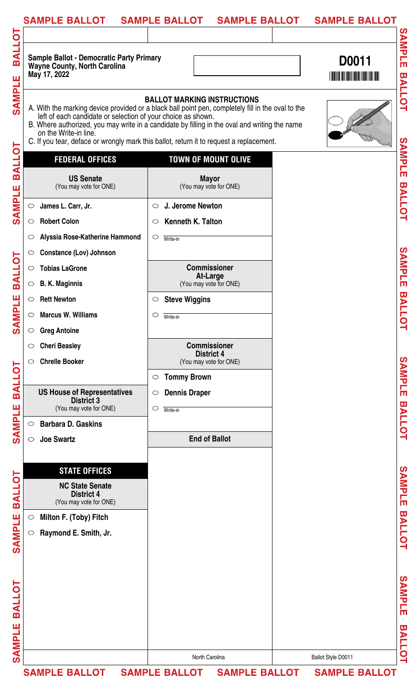| <b>SAMPLE BALLOT</b>                                                                                   | <b>SAMPLE BALLOT</b><br><b>SAMPLE BALLOT</b>                                                                                                                                                                                                                                                                                        | <b>SAMPLE BALLOT</b>    |
|--------------------------------------------------------------------------------------------------------|-------------------------------------------------------------------------------------------------------------------------------------------------------------------------------------------------------------------------------------------------------------------------------------------------------------------------------------|-------------------------|
| <b>Sample Ballot - Democratic Party Primary</b><br><b>Wayne County, North Carolina</b><br>May 17, 2022 |                                                                                                                                                                                                                                                                                                                                     | <b>SAMPLE</b><br>D0011  |
| left of each candidate or selection of your choice as shown.<br>on the Write-in line.                  | <b>BALLOT MARKING INSTRUCTIONS</b><br>A. With the marking device provided or a black ball point pen, completely fill in the oval to the<br>B. Where authorized, you may write in a candidate by filling in the oval and writing the name<br>C. If you tear, deface or wrongly mark this ballot, return it to request a replacement. | <b>BALLOT</b>           |
| <b>FEDERAL OFFICES</b>                                                                                 | <b>TOWN OF MOUNT OLIVE</b>                                                                                                                                                                                                                                                                                                          | <b>SAMPLE</b>           |
| <b>US Senate</b><br>(You may vote for ONE)                                                             | <b>Mayor</b><br>(You may vote for ONE)                                                                                                                                                                                                                                                                                              |                         |
| James L. Carr, Jr.<br>$\circ$                                                                          | J. Jerome Newton<br>$\circ$                                                                                                                                                                                                                                                                                                         | <b>BALLOT</b>           |
| <b>Robert Colon</b><br>$\circ$                                                                         | Kenneth K. Talton<br>$\circ$                                                                                                                                                                                                                                                                                                        |                         |
| Alyssia Rose-Katherine Hammond<br>$\circ$                                                              | $\circ$<br>Write-in                                                                                                                                                                                                                                                                                                                 |                         |
| <b>Constance (Lov) Johnson</b><br>$\circ$                                                              |                                                                                                                                                                                                                                                                                                                                     |                         |
| <b>Tobias LaGrone</b><br>$\circ$                                                                       | <b>Commissioner</b>                                                                                                                                                                                                                                                                                                                 | SAMPLE                  |
| <b>B. K. Maginnis</b><br>$\circ$                                                                       | <b>At-Large</b><br>(You may vote for ONE)                                                                                                                                                                                                                                                                                           |                         |
| <b>Rett Newton</b><br>$\circ$                                                                          | <b>Steve Wiggins</b><br>$\circ$                                                                                                                                                                                                                                                                                                     |                         |
| <b>Marcus W. Williams</b><br>$\circ$                                                                   | $\circ$<br>Write-in                                                                                                                                                                                                                                                                                                                 | <b>BALLOT</b>           |
| <b>Greg Antoine</b><br>$\circ$                                                                         |                                                                                                                                                                                                                                                                                                                                     |                         |
| <b>Cheri Beasley</b><br>$\circ$                                                                        | <b>Commissioner</b>                                                                                                                                                                                                                                                                                                                 |                         |
| <b>Chrelle Booker</b><br>$\circ$                                                                       | <b>District 4</b><br>(You may vote for ONE)                                                                                                                                                                                                                                                                                         |                         |
|                                                                                                        | <b>Tommy Brown</b><br>$\circ$                                                                                                                                                                                                                                                                                                       | SAMPLE                  |
| <b>US House of Representatives</b>                                                                     | <b>Dennis Draper</b><br>$\circ$                                                                                                                                                                                                                                                                                                     |                         |
| <b>District 3</b><br>(You may vote for ONE)                                                            | $\circ$<br>Write-in                                                                                                                                                                                                                                                                                                                 |                         |
| <b>Barbara D. Gaskins</b><br>$\circ$                                                                   |                                                                                                                                                                                                                                                                                                                                     | <b>BALLOT</b>           |
| <b>Joe Swartz</b><br>$\bigcirc$                                                                        | <b>End of Ballot</b>                                                                                                                                                                                                                                                                                                                |                         |
|                                                                                                        |                                                                                                                                                                                                                                                                                                                                     |                         |
| <b>STATE OFFICES</b>                                                                                   |                                                                                                                                                                                                                                                                                                                                     |                         |
| <b>NC State Senate</b><br><b>District 4</b><br>(You may vote for ONE)                                  |                                                                                                                                                                                                                                                                                                                                     | SAMPLE                  |
| Milton F. (Toby) Fitch<br>$\circ$                                                                      |                                                                                                                                                                                                                                                                                                                                     |                         |
| Raymond E. Smith, Jr.<br>$\circ$                                                                       |                                                                                                                                                                                                                                                                                                                                     | <b>BALLOT</b>           |
|                                                                                                        |                                                                                                                                                                                                                                                                                                                                     |                         |
|                                                                                                        |                                                                                                                                                                                                                                                                                                                                     |                         |
|                                                                                                        |                                                                                                                                                                                                                                                                                                                                     |                         |
|                                                                                                        |                                                                                                                                                                                                                                                                                                                                     | SAMPLE                  |
|                                                                                                        |                                                                                                                                                                                                                                                                                                                                     |                         |
|                                                                                                        |                                                                                                                                                                                                                                                                                                                                     | $\overline{\mathbf{u}}$ |
|                                                                                                        |                                                                                                                                                                                                                                                                                                                                     | <b>ALLOT</b>            |
|                                                                                                        | North Carolina                                                                                                                                                                                                                                                                                                                      | Ballot Style D0011      |
| <b>SAMPLE BALLOT</b>                                                                                   | <b>SAMPLE BALLOT</b><br><b>SAMPLE BALLOT</b>                                                                                                                                                                                                                                                                                        | <b>SAMPLE BALLOT</b>    |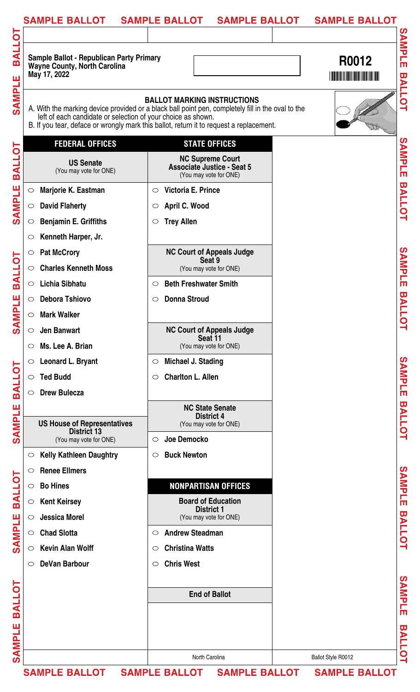| SAMPLE BALLOT SAMPLE BALLOT                                                                            | <b>SAMPLE BALLOT</b>                                                                                                                                                                                                               | <b>SAMPLE BALLOT</b> |
|--------------------------------------------------------------------------------------------------------|------------------------------------------------------------------------------------------------------------------------------------------------------------------------------------------------------------------------------------|----------------------|
| <b>Sample Ballot - Republican Party Primary</b><br><b>Wayne County, North Carolina</b><br>May 17, 2022 |                                                                                                                                                                                                                                    | R0012                |
| left of each candidate or selection of your choice as shown.                                           | <b>BALLOT MARKING INSTRUCTIONS</b><br>A. With the marking device provided or a black ball point pen, completely fill in the oval to the<br>B. If you tear, deface or wrongly mark this ballot, return it to request a replacement. |                      |
| <b>FEDERAL OFFICES</b>                                                                                 | <b>STATE OFFICES</b>                                                                                                                                                                                                               |                      |
| <b>US Senate</b><br>(You may vote for ONE)                                                             | <b>NC Supreme Court</b><br><b>Associate Justice - Seat 5</b><br>(You may vote for ONE)                                                                                                                                             |                      |
| Marjorie K. Eastman<br>$\bigcirc$                                                                      | Victoria E. Prince<br>$\circ$                                                                                                                                                                                                      |                      |
| <b>David Flaherty</b><br>$\circ$                                                                       | April C. Wood<br>$\circ$                                                                                                                                                                                                           |                      |
| <b>Benjamin E. Griffiths</b><br>$\circ$                                                                | <b>Trey Allen</b><br>$\circ$                                                                                                                                                                                                       |                      |
| Kenneth Harper, Jr.<br>$\circ$                                                                         |                                                                                                                                                                                                                                    |                      |
| <b>Pat McCrory</b><br>$\circ$                                                                          | <b>NC Court of Appeals Judge</b>                                                                                                                                                                                                   |                      |
| <b>Charles Kenneth Moss</b><br>$\circ$                                                                 | Seat 9<br>(You may vote for ONE)                                                                                                                                                                                                   |                      |
| <b>Lichia Sibhatu</b><br>$\circ$                                                                       | <b>Beth Freshwater Smith</b><br>$\circ$                                                                                                                                                                                            |                      |
| <b>Debora Tshiovo</b><br>$\circ$                                                                       | <b>Donna Stroud</b><br>$\circ$                                                                                                                                                                                                     |                      |
| <b>Mark Walker</b><br>$\circ$                                                                          |                                                                                                                                                                                                                                    |                      |
| <b>Jen Banwart</b><br>$\circ$                                                                          | <b>NC Court of Appeals Judge</b>                                                                                                                                                                                                   |                      |
| Ms. Lee A. Brian<br>$\circ$                                                                            | Seat 11<br>(You may vote for ONE)                                                                                                                                                                                                  |                      |
| <b>Leonard L. Bryant</b><br>$\circ$                                                                    | Michael J. Stading<br>$\circ$                                                                                                                                                                                                      |                      |
| <b>Ted Budd</b><br>$\circ$                                                                             | <b>Charlton L. Allen</b><br>$\circ$                                                                                                                                                                                                |                      |
| <b>Drew Bulecza</b><br>$\bigcirc$                                                                      |                                                                                                                                                                                                                                    |                      |
|                                                                                                        | <b>NC State Senate</b>                                                                                                                                                                                                             |                      |
| <b>US House of Representatives</b>                                                                     | <b>District 4</b><br>(You may vote for ONE)                                                                                                                                                                                        |                      |
| <b>District 13</b><br>(You may vote for ONE)                                                           | Joe Democko<br>$\circ$                                                                                                                                                                                                             |                      |
| <b>Kelly Kathleen Daughtry</b>                                                                         | <b>Buck Newton</b><br>$\circ$                                                                                                                                                                                                      |                      |
| <b>Renee Ellmers</b><br>$\circ$                                                                        |                                                                                                                                                                                                                                    |                      |
| <b>Bo Hines</b><br>$\circ$                                                                             | <b>NONPARTISAN OFFICES</b>                                                                                                                                                                                                         |                      |
| <b>Kent Keirsey</b><br>$\circlearrowright$                                                             | <b>Board of Education</b>                                                                                                                                                                                                          |                      |
| <b>Jessica Morel</b><br>$\circ$                                                                        | <b>District 1</b><br>(You may vote for ONE)                                                                                                                                                                                        |                      |
| <b>Chad Slotta</b><br>$\bigcirc$                                                                       | <b>Andrew Steadman</b><br>$\circ$                                                                                                                                                                                                  |                      |
| <b>Kevin Alan Wolff</b><br>$\circ$                                                                     | <b>Christina Watts</b><br>$\circ$                                                                                                                                                                                                  |                      |
| <b>DeVan Barbour</b>                                                                                   | <b>Chris West</b><br>$\circ$                                                                                                                                                                                                       |                      |
|                                                                                                        |                                                                                                                                                                                                                                    |                      |
|                                                                                                        | <b>End of Ballot</b>                                                                                                                                                                                                               |                      |
|                                                                                                        |                                                                                                                                                                                                                                    |                      |
|                                                                                                        |                                                                                                                                                                                                                                    |                      |
|                                                                                                        |                                                                                                                                                                                                                                    |                      |
|                                                                                                        |                                                                                                                                                                                                                                    |                      |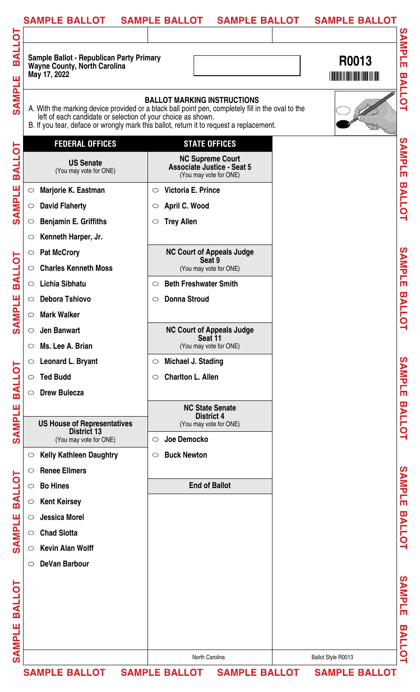|                         | <b>SAMPLE BALLOT</b>                                                                                                                                                                                                                                         |                     | <b>SAMPLE BALLOT</b><br><b>SAMPLE BALLOT</b>                                           | <b>SAMPLE BALLOT</b> |               |
|-------------------------|--------------------------------------------------------------------------------------------------------------------------------------------------------------------------------------------------------------------------------------------------------------|---------------------|----------------------------------------------------------------------------------------|----------------------|---------------|
|                         |                                                                                                                                                                                                                                                              |                     |                                                                                        |                      | ၯ             |
| <b>BALLO</b><br>ш       | <b>Sample Ballot - Republican Party Primary</b><br><b>Wayne County, North Carolina</b><br>May 17, 2022                                                                                                                                                       |                     |                                                                                        | R0013                | <b>AMPLE</b>  |
| <b>RINIAS</b>           | A. With the marking device provided or a black ball point pen, completely fill in the oval to the<br>left of each candidate or selection of your choice as shown.<br>B. If you tear, deface or wrongly mark this ballot, return it to request a replacement. |                     | <b>BALLOT MARKING INSTRUCTIONS</b>                                                     |                      | <b>BALLOT</b> |
|                         | <b>FEDERAL OFFICES</b>                                                                                                                                                                                                                                       |                     | <b>STATE OFFICES</b>                                                                   |                      |               |
| <b>LOTRE</b>            | <b>US Senate</b><br>(You may vote for ONE)                                                                                                                                                                                                                   |                     | <b>NC Supreme Court</b><br><b>Associate Justice - Seat 5</b><br>(You may vote for ONE) |                      | SAMPLE        |
|                         | Marjorie K. Eastman<br>$\bigcirc$                                                                                                                                                                                                                            | $\circ$             | Victoria E. Prince                                                                     |                      |               |
| <b>SAMPLE</b>           | <b>David Flaherty</b><br>$\circ$                                                                                                                                                                                                                             | $\circlearrowright$ | April C. Wood                                                                          |                      | <b>BALLOT</b> |
|                         | <b>Benjamin E. Griffiths</b><br>$\circ$                                                                                                                                                                                                                      | $\circ$             | <b>Trey Allen</b>                                                                      |                      |               |
|                         | Kenneth Harper, Jr.<br>$\circ$                                                                                                                                                                                                                               |                     |                                                                                        |                      |               |
|                         | <b>Pat McCrory</b><br>$\bigcirc$                                                                                                                                                                                                                             |                     | <b>NC Court of Appeals Judge</b>                                                       |                      |               |
|                         | <b>Charles Kenneth Moss</b><br>$\circ$                                                                                                                                                                                                                       |                     | Seat 9<br>(You may vote for ONE)                                                       |                      | SAMPLE        |
| <b>BALLOT</b>           | <b>Lichia Sibhatu</b><br>$\circ$                                                                                                                                                                                                                             | $\circ$             | <b>Beth Freshwater Smith</b>                                                           |                      |               |
|                         | <b>Debora Tshiovo</b><br>$\circ$                                                                                                                                                                                                                             | $\circ$             | <b>Donna Stroud</b>                                                                    |                      |               |
| <b>North</b>            | <b>Mark Walker</b>                                                                                                                                                                                                                                           |                     |                                                                                        |                      | <b>BALLO</b>  |
| $\overline{\mathbf{A}}$ | <b>Jen Banwart</b><br>$\circ$                                                                                                                                                                                                                                |                     | <b>NC Court of Appeals Judge</b>                                                       |                      | $\mathbf{Q}$  |
|                         | Ms. Lee A. Brian<br>$\circ$                                                                                                                                                                                                                                  |                     | Seat 11<br>(You may vote for ONE)                                                      |                      |               |
|                         | Leonard L. Bryant<br>$\circ$                                                                                                                                                                                                                                 | $\circ$             | Michael J. Stading                                                                     |                      |               |
| <b>TOJARE</b>           | <b>Ted Budd</b><br>$\circ$                                                                                                                                                                                                                                   | $\circ$             | <b>Charlton L. Allen</b>                                                               |                      | SAMPLE        |
|                         | <b>Drew Bulecza</b><br>$\bigcirc$                                                                                                                                                                                                                            |                     |                                                                                        |                      |               |
|                         |                                                                                                                                                                                                                                                              |                     | <b>NC State Senate</b>                                                                 |                      |               |
| <b>SAMPLE</b>           | <b>US House of Representatives</b>                                                                                                                                                                                                                           |                     | <b>District 4</b><br>(You may vote for ONE)                                            |                      | <b>BALLOT</b> |
|                         | <b>District 13</b><br>(You may vote for ONE)                                                                                                                                                                                                                 | $\circ$             | Joe Democko                                                                            |                      |               |
|                         | <b>Kelly Kathleen Daughtry</b><br>$\circ$                                                                                                                                                                                                                    | $\circ$             | <b>Buck Newton</b>                                                                     |                      |               |
|                         | <b>Renee Ellmers</b><br>$\circ$                                                                                                                                                                                                                              |                     |                                                                                        |                      |               |
|                         | <b>Bo Hines</b><br>$\circ$                                                                                                                                                                                                                                   |                     | <b>End of Ballot</b>                                                                   |                      |               |
| <b>TOTIAR</b>           | <b>Kent Keirsey</b><br>$\bigcirc$                                                                                                                                                                                                                            |                     |                                                                                        |                      | SAMPLE        |
|                         | <b>Jessica Morel</b><br>$\circ$                                                                                                                                                                                                                              |                     |                                                                                        |                      |               |
| <b>SAMPLE</b>           | <b>Chad Slotta</b><br>$\bigcirc$                                                                                                                                                                                                                             |                     |                                                                                        |                      | <b>BALLOT</b> |
|                         | <b>Kevin Alan Wolff</b><br>$\circ$                                                                                                                                                                                                                           |                     |                                                                                        |                      |               |
|                         | <b>DeVan Barbour</b><br>$\circ$                                                                                                                                                                                                                              |                     |                                                                                        |                      |               |
|                         |                                                                                                                                                                                                                                                              |                     |                                                                                        |                      |               |
|                         |                                                                                                                                                                                                                                                              |                     |                                                                                        |                      |               |
| <b>PALLOT</b>           |                                                                                                                                                                                                                                                              |                     |                                                                                        |                      | SAMPLE        |
| ш                       |                                                                                                                                                                                                                                                              |                     |                                                                                        |                      |               |
|                         |                                                                                                                                                                                                                                                              |                     |                                                                                        |                      |               |
| <b>RIMPS</b>            |                                                                                                                                                                                                                                                              |                     | North Carolina                                                                         | Ballot Style R0013   | <b>BALLOT</b> |
|                         | <b>SAMPLE BALLOT</b>                                                                                                                                                                                                                                         |                     | SAMPLE BALLOT SAMPLE BALLOT                                                            | <b>SAMPLE BALLOT</b> |               |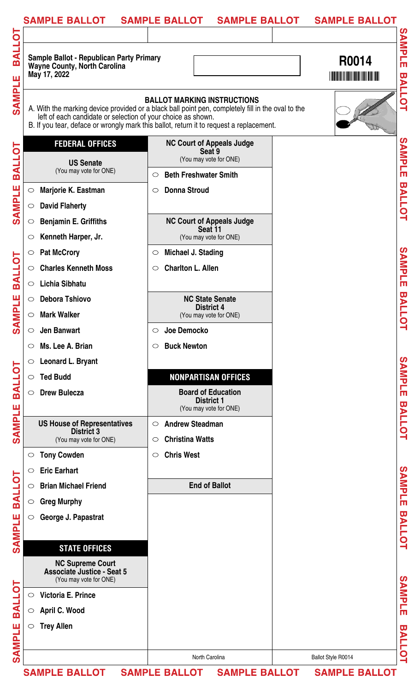|               | <b>SAMPLE BALLOT</b>                                                                                                                                                                                                                                         | <b>SAMPLE BALLOT</b>                                        | <b>SAMPLE BALLOT</b> | <b>SAMPLE BALLOT</b> |                         |
|---------------|--------------------------------------------------------------------------------------------------------------------------------------------------------------------------------------------------------------------------------------------------------------|-------------------------------------------------------------|----------------------|----------------------|-------------------------|
|               |                                                                                                                                                                                                                                                              |                                                             |                      |                      |                         |
| <b>LOJIAR</b> | Sample Ballot - Republican Party Primary<br><b>Wayne County, North Carolina</b><br>May 17, 2022                                                                                                                                                              |                                                             |                      | R0014                | <b>SAMPLE</b>           |
| <b>SAMPLE</b> | A. With the marking device provided or a black ball point pen, completely fill in the oval to the<br>left of each candidate or selection of your choice as shown.<br>B. If you tear, deface or wrongly mark this ballot, return it to request a replacement. | <b>BALLOT MARKING INSTRUCTIONS</b>                          |                      |                      | <b>BALLOT</b>           |
| Ō             | <b>FEDERAL OFFICES</b>                                                                                                                                                                                                                                       | <b>NC Court of Appeals Judge</b><br>Seat 9                  |                      |                      |                         |
| <b>TTVB</b>   | <b>US Senate</b><br>(You may vote for ONE)                                                                                                                                                                                                                   | (You may vote for ONE)                                      |                      |                      | SAMPLE                  |
|               |                                                                                                                                                                                                                                                              | <b>Beth Freshwater Smith</b><br>$\circ$                     |                      |                      |                         |
| <b>SAMPLE</b> | Marjorie K. Eastman<br>$\bigcirc$                                                                                                                                                                                                                            | <b>Donna Stroud</b><br>$\circ$                              |                      |                      | <b>BALLOT</b>           |
|               | <b>David Flaherty</b><br>$\circ$                                                                                                                                                                                                                             |                                                             |                      |                      |                         |
|               | <b>Benjamin E. Griffiths</b><br>$\circ$                                                                                                                                                                                                                      | <b>NC Court of Appeals Judge</b><br>Seat 11                 |                      |                      |                         |
|               | Kenneth Harper, Jr.<br>$\circ$                                                                                                                                                                                                                               | (You may vote for ONE)                                      |                      |                      |                         |
| <b>BALLOT</b> | <b>Pat McCrory</b><br>$\circ$                                                                                                                                                                                                                                | Michael J. Stading<br>$\circ$                               |                      |                      | SAMPLE                  |
|               | <b>Charles Kenneth Moss</b><br>$\circ$                                                                                                                                                                                                                       | <b>Charlton L. Allen</b><br>$\circ$                         |                      |                      |                         |
|               | Lichia Sibhatu<br>$\circ$                                                                                                                                                                                                                                    |                                                             |                      |                      |                         |
| <b>MPLE</b>   | <b>Debora Tshiovo</b><br>$\circ$                                                                                                                                                                                                                             | <b>NC State Senate</b><br><b>District 4</b>                 |                      |                      | <b>BALLOT</b>           |
| ≴             | <b>Mark Walker</b><br>$\circ$                                                                                                                                                                                                                                | (You may vote for ONE)                                      |                      |                      |                         |
|               | <b>Jen Banwart</b><br>$\circ$                                                                                                                                                                                                                                | Joe Democko<br>$\circ$                                      |                      |                      |                         |
|               | Ms. Lee A. Brian<br>$\circ$                                                                                                                                                                                                                                  | <b>Buck Newton</b><br>$\circ$                               |                      |                      |                         |
|               | Leonard L. Bryant<br>$\circ$                                                                                                                                                                                                                                 |                                                             |                      |                      | SAMPLE                  |
| <b>BALLOT</b> | <b>Ted Budd</b><br>$\bigcirc$                                                                                                                                                                                                                                | <b>NONPARTISAN OFFICES</b><br><b>Board of Education</b>     |                      |                      |                         |
|               | <b>Drew Bulecza</b><br>$\circ$                                                                                                                                                                                                                               | <b>District 1</b>                                           |                      |                      |                         |
| <b>SAMPLE</b> | <b>US House of Representatives</b>                                                                                                                                                                                                                           | (You may vote for ONE)<br><b>Andrew Steadman</b><br>$\circ$ |                      |                      | <b>BALLOT</b>           |
|               | <b>District 3</b><br>(You may vote for ONE)                                                                                                                                                                                                                  | <b>Christina Watts</b><br>$\circ$                           |                      |                      |                         |
|               | $\circ$                                                                                                                                                                                                                                                      | <b>Chris West</b><br>$\circ$                                |                      |                      |                         |
|               | <b>Tony Cowden</b><br><b>Eric Earhart</b><br>$\circ$                                                                                                                                                                                                         |                                                             |                      |                      |                         |
|               | <b>Brian Michael Friend</b><br>$\circ$                                                                                                                                                                                                                       | <b>End of Ballot</b>                                        |                      |                      |                         |
| <b>BALLOT</b> | <b>Greg Murphy</b><br>$\bigcirc$                                                                                                                                                                                                                             |                                                             |                      |                      | SAMPLE                  |
|               | George J. Papastrat<br>$\circ$                                                                                                                                                                                                                               |                                                             |                      |                      |                         |
| <b>SAMPLE</b> |                                                                                                                                                                                                                                                              |                                                             |                      |                      | <b>BALLOT</b>           |
|               | <b>STATE OFFICES</b>                                                                                                                                                                                                                                         |                                                             |                      |                      |                         |
|               | <b>NC Supreme Court</b><br>Associate Justice - Seat 5<br>(You may vote for ONE)                                                                                                                                                                              |                                                             |                      |                      |                         |
|               | Victoria E. Prince<br>$\circ$                                                                                                                                                                                                                                |                                                             |                      |                      |                         |
| <b>TOJIAR</b> | April C. Wood<br>$\circ$                                                                                                                                                                                                                                     |                                                             |                      |                      | <b>SAMPLE</b>           |
| щ             | <b>Trey Allen</b><br>$\circ$                                                                                                                                                                                                                                 |                                                             |                      |                      | $\overline{\mathbf{u}}$ |
|               |                                                                                                                                                                                                                                                              |                                                             |                      |                      |                         |
| <b>SAMPI</b>  |                                                                                                                                                                                                                                                              | North Carolina                                              |                      | Ballot Style R0014   | <b>ALLOT</b>            |
|               | <b>SAMPLE BALLOT</b>                                                                                                                                                                                                                                         | <b>SAMPLE BALLOT</b>                                        | <b>SAMPLE BALLOT</b> | <b>SAMPLE BALLOT</b> |                         |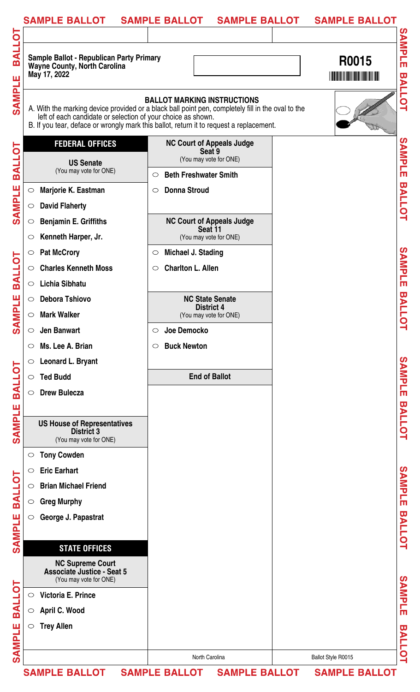|               | <b>SAMPLE BALLOT</b>                                                                                                                                                                                                                                         | <b>SAMPLE BALLOT</b>                        | <b>SAMPLE BALLOT</b> | <b>SAMPLE BALLOT</b> |                         |
|---------------|--------------------------------------------------------------------------------------------------------------------------------------------------------------------------------------------------------------------------------------------------------------|---------------------------------------------|----------------------|----------------------|-------------------------|
|               |                                                                                                                                                                                                                                                              |                                             |                      |                      |                         |
| <b>BALLOT</b> | <b>Sample Ballot - Republican Party Primary</b><br><b>Wayne County, North Carolina</b><br>May 17, 2022                                                                                                                                                       |                                             |                      | R0015                | SAMPLE                  |
| <b>SAMPLE</b> | A. With the marking device provided or a black ball point pen, completely fill in the oval to the<br>left of each candidate or selection of your choice as shown.<br>B. If you tear, deface or wrongly mark this ballot, return it to request a replacement. | <b>BALLOT MARKING INSTRUCTIONS</b>          |                      |                      | <b>BALLOT</b>           |
|               | <b>FEDERAL OFFICES</b>                                                                                                                                                                                                                                       | <b>NC Court of Appeals Judge</b>            |                      |                      |                         |
| <b>BALLOT</b> | <b>US Senate</b>                                                                                                                                                                                                                                             | Seat 9<br>(You may vote for ONE)            |                      |                      | SAMPLE                  |
|               | (You may vote for ONE)                                                                                                                                                                                                                                       | <b>Beth Freshwater Smith</b><br>$\circ$     |                      |                      |                         |
|               | Marjorie K. Eastman<br>$\bigcirc$                                                                                                                                                                                                                            | <b>Donna Stroud</b><br>$\circ$              |                      |                      |                         |
| <b>SAMPLE</b> | <b>David Flaherty</b><br>$\circ$                                                                                                                                                                                                                             |                                             |                      |                      | <b>BALLOT</b>           |
|               | <b>Benjamin E. Griffiths</b><br>$\circ$                                                                                                                                                                                                                      | <b>NC Court of Appeals Judge</b>            |                      |                      |                         |
|               | Kenneth Harper, Jr.<br>$\circ$                                                                                                                                                                                                                               | Seat 11<br>(You may vote for ONE)           |                      |                      |                         |
|               | <b>Pat McCrory</b><br>$\circ$                                                                                                                                                                                                                                | Michael J. Stading<br>$\circ$               |                      |                      |                         |
| <b>BALLOT</b> | <b>Charles Kenneth Moss</b><br>$\circ$                                                                                                                                                                                                                       | <b>Charlton L. Allen</b><br>$\circ$         |                      |                      | SAMPLE                  |
|               | <b>Lichia Sibhatu</b><br>$\circ$                                                                                                                                                                                                                             |                                             |                      |                      |                         |
| <b>NPLE</b>   | <b>Debora Tshiovo</b><br>$\circ$                                                                                                                                                                                                                             | <b>NC State Senate</b><br><b>District 4</b> |                      |                      | <b>BALLOT</b>           |
|               | <b>Mark Walker</b><br>$\bigcirc$                                                                                                                                                                                                                             | (You may vote for ONE)                      |                      |                      |                         |
| ຽ             | <b>Jen Banwart</b><br>$\circ$                                                                                                                                                                                                                                | Joe Democko<br>$\circ$                      |                      |                      |                         |
|               | Ms. Lee A. Brian<br>$\circ$                                                                                                                                                                                                                                  | <b>Buck Newton</b><br>$\circ$               |                      |                      |                         |
|               | Leonard L. Bryant<br>$\circ$                                                                                                                                                                                                                                 |                                             |                      |                      |                         |
| <b>BALLOT</b> | <b>Ted Budd</b><br>$\circ$                                                                                                                                                                                                                                   | <b>End of Ballot</b>                        |                      |                      | SAMPLE                  |
|               | <b>Drew Bulecza</b><br>$\circ$                                                                                                                                                                                                                               |                                             |                      |                      |                         |
|               |                                                                                                                                                                                                                                                              |                                             |                      |                      |                         |
| <b>SAMPLE</b> | <b>US House of Representatives</b><br><b>District 3</b><br>(You may vote for ONE)                                                                                                                                                                            |                                             |                      |                      | <b>BALLOT</b>           |
|               | <b>Tony Cowden</b><br>$\circ$                                                                                                                                                                                                                                |                                             |                      |                      |                         |
|               | <b>Eric Earhart</b><br>$\circ$                                                                                                                                                                                                                               |                                             |                      |                      |                         |
| <b>BALLOT</b> | <b>Brian Michael Friend</b><br>$\circ$                                                                                                                                                                                                                       |                                             |                      |                      | SAMPLE                  |
|               | <b>Greg Murphy</b><br>$\circ$                                                                                                                                                                                                                                |                                             |                      |                      |                         |
|               | George J. Papastrat<br>$\circ$                                                                                                                                                                                                                               |                                             |                      |                      |                         |
| <b>SAMPLE</b> |                                                                                                                                                                                                                                                              |                                             |                      |                      | <b>BALLOT</b>           |
|               | <b>STATE OFFICES</b>                                                                                                                                                                                                                                         |                                             |                      |                      |                         |
|               | <b>NC Supreme Court</b><br><b>Associate Justice - Seat 5</b><br>(You may vote for ONE)                                                                                                                                                                       |                                             |                      |                      |                         |
| <b>TOTIVE</b> | Victoria E. Prince<br>$\circ$                                                                                                                                                                                                                                |                                             |                      |                      | <b>SAMPLE</b>           |
|               | April C. Wood<br>$\bigcirc$                                                                                                                                                                                                                                  |                                             |                      |                      |                         |
| ш             | <b>Trey Allen</b><br>$\circ$                                                                                                                                                                                                                                 |                                             |                      |                      | $\overline{\mathbf{u}}$ |
| <b>SAMPL</b>  |                                                                                                                                                                                                                                                              |                                             |                      |                      | <b>ALLOT</b>            |
|               |                                                                                                                                                                                                                                                              | North Carolina                              |                      | Ballot Style R0015   |                         |
|               | <b>SAMPLE BALLOT</b>                                                                                                                                                                                                                                         | <b>SAMPLE BALLOT</b>                        | <b>SAMPLE BALLOT</b> | <b>SAMPLE BALLOT</b> |                         |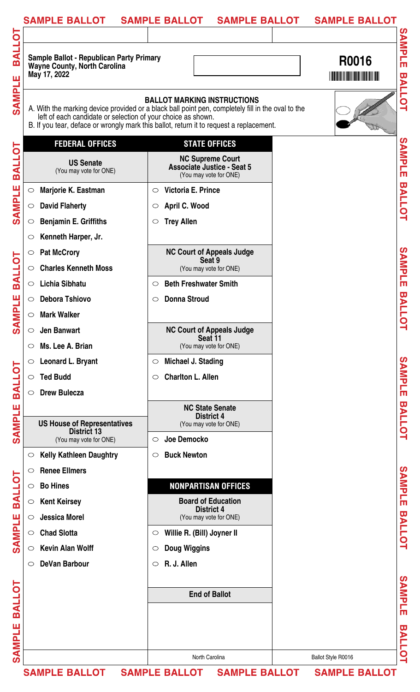| <b>Sample Ballot - Republican Party Primary</b><br><b>Wayne County, North Carolina</b><br>May 17, 2022 |                                                                                                                                                                                                                                    | R0016<br><u>HIINI INI INI INI INI INI INI </u> |
|--------------------------------------------------------------------------------------------------------|------------------------------------------------------------------------------------------------------------------------------------------------------------------------------------------------------------------------------------|------------------------------------------------|
| left of each candidate or selection of your choice as shown.                                           | <b>BALLOT MARKING INSTRUCTIONS</b><br>A. With the marking device provided or a black ball point pen, completely fill in the oval to the<br>B. If you tear, deface or wrongly mark this ballot, return it to request a replacement. |                                                |
| <b>FEDERAL OFFICES</b>                                                                                 | <b>STATE OFFICES</b>                                                                                                                                                                                                               |                                                |
| <b>US Senate</b><br>(You may vote for ONE)                                                             | <b>NC Supreme Court</b><br><b>Associate Justice - Seat 5</b><br>(You may vote for ONE)                                                                                                                                             |                                                |
| Marjorie K. Eastman<br>$\bigcirc$                                                                      | Victoria E. Prince<br>$\circ$                                                                                                                                                                                                      |                                                |
| <b>David Flaherty</b><br>$\bigcirc$                                                                    | April C. Wood<br>$\circlearrowright$                                                                                                                                                                                               |                                                |
| <b>Benjamin E. Griffiths</b><br>$\circ$                                                                | <b>Trey Allen</b><br>$\circ$                                                                                                                                                                                                       |                                                |
| Kenneth Harper, Jr.<br>$\circ$                                                                         |                                                                                                                                                                                                                                    |                                                |
| <b>Pat McCrory</b><br>$\circ$                                                                          | <b>NC Court of Appeals Judge</b>                                                                                                                                                                                                   |                                                |
| <b>Charles Kenneth Moss</b><br>$\bigcirc$                                                              | Seat 9<br>(You may vote for ONE)                                                                                                                                                                                                   |                                                |
| Lichia Sibhatu<br>$\bigcirc$                                                                           | <b>Beth Freshwater Smith</b><br>$\circ$                                                                                                                                                                                            |                                                |
| <b>Debora Tshiovo</b><br>$\circ$                                                                       | <b>Donna Stroud</b><br>$\circ$                                                                                                                                                                                                     |                                                |
| <b>Mark Walker</b><br>$\circ$                                                                          |                                                                                                                                                                                                                                    |                                                |
| <b>Jen Banwart</b><br>$\circ$                                                                          | <b>NC Court of Appeals Judge</b>                                                                                                                                                                                                   |                                                |
| Ms. Lee A. Brian<br>$\circlearrowright$                                                                | Seat 11<br>(You may vote for ONE)                                                                                                                                                                                                  |                                                |
| Leonard L. Bryant<br>$\circ$                                                                           | Michael J. Stading<br>$\circ$                                                                                                                                                                                                      |                                                |
| <b>Ted Budd</b><br>$\circ$                                                                             | <b>Charlton L. Allen</b><br>$\circ$                                                                                                                                                                                                |                                                |
| <b>Drew Bulecza</b><br>$\bigcirc$                                                                      |                                                                                                                                                                                                                                    |                                                |
|                                                                                                        | <b>NC State Senate</b>                                                                                                                                                                                                             |                                                |
| <b>US House of Representatives</b><br><b>District 13</b>                                               | <b>District 4</b><br>(You may vote for ONE)                                                                                                                                                                                        |                                                |
| (You may vote for ONE)                                                                                 | Joe Democko<br>$\circ$                                                                                                                                                                                                             |                                                |
| <b>Kelly Kathleen Daughtry</b><br>$\circ$                                                              | <b>Buck Newton</b><br>$\circ$                                                                                                                                                                                                      |                                                |
| <b>Renee Ellmers</b><br>$\circ$                                                                        |                                                                                                                                                                                                                                    |                                                |
| <b>Bo Hines</b><br>$\circ$                                                                             | <b>NONPARTISAN OFFICES</b>                                                                                                                                                                                                         |                                                |
| <b>Kent Keirsey</b><br>$\bigcirc$                                                                      | <b>Board of Education</b><br><b>District 4</b>                                                                                                                                                                                     |                                                |
| <b>Jessica Morel</b><br>$\circ$                                                                        | (You may vote for ONE)                                                                                                                                                                                                             |                                                |
| <b>Chad Slotta</b><br>$\bigcirc$                                                                       | Willie R. (Bill) Joyner II<br>$\circ$                                                                                                                                                                                              |                                                |
| <b>Kevin Alan Wolff</b><br>$\circ$                                                                     | <b>Doug Wiggins</b><br>$\circlearrowright$                                                                                                                                                                                         |                                                |
| <b>DeVan Barbour</b><br>$\circ$                                                                        | R. J. Allen<br>$\circ$                                                                                                                                                                                                             |                                                |
|                                                                                                        |                                                                                                                                                                                                                                    |                                                |
|                                                                                                        | <b>End of Ballot</b>                                                                                                                                                                                                               |                                                |
|                                                                                                        |                                                                                                                                                                                                                                    |                                                |
|                                                                                                        |                                                                                                                                                                                                                                    |                                                |
|                                                                                                        |                                                                                                                                                                                                                                    |                                                |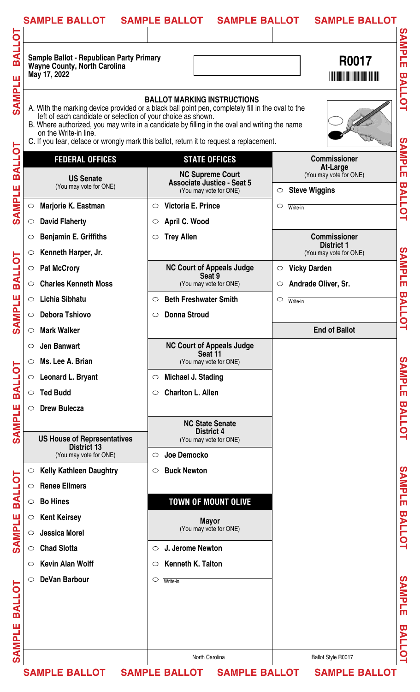| <b>SAMPLE BALLOT</b>                                                                                                                                                                                                                                                                                   | <b>SAMPLE BALLOT</b><br><b>SAMPLE BALLOT</b>                                                                                                                                                                                               | <b>SAMPLE BALLOT</b>                                                                                                                                                                             |
|--------------------------------------------------------------------------------------------------------------------------------------------------------------------------------------------------------------------------------------------------------------------------------------------------------|--------------------------------------------------------------------------------------------------------------------------------------------------------------------------------------------------------------------------------------------|--------------------------------------------------------------------------------------------------------------------------------------------------------------------------------------------------|
| Ō<br>ᆗ<br><b>Sample Ballot - Republican Party Primary</b><br><u>m</u><br><b>Wayne County, North Carolina</b><br>May 17, 2022<br>ш<br><b>SAMI</b><br>left of each candidate or selection of your choice as shown.<br>on the Write-in line.                                                              | <b>BALLOT MARKING INSTRUCTIONS</b><br>A. With the marking device provided or a black ball point pen, completely fill in the oval to the<br>B. Where authorized, you may write in a candidate by filling in the oval and writing the name   | <b>SAMPLE</b><br>R0017<br><u>Manazarta da sensina de la propia de la propia de la propia de la propia de la propia de la propia de la propi</u><br><b>BALLOT</b>                                 |
| <b>TOTISS</b><br><b>FEDERAL OFFICES</b><br><b>US Senate</b><br>(You may vote for ONE)<br><b>SAMPLE</b><br>Marjorie K. Eastman<br>$\bigcirc$                                                                                                                                                            | C. If you tear, deface or wrongly mark this ballot, return it to request a replacement.<br><b>STATE OFFICES</b><br><b>NC Supreme Court</b><br><b>Associate Justice - Seat 5</b><br>(You may vote for ONE)<br>Victoria E. Prince<br>$\circ$ | <b>SAMPLE</b><br><b>Commissioner</b><br><b>At-Large</b><br>(You may vote for ONE)<br><b>BALLOT</b><br><b>Steve Wiggins</b><br>$\circ$<br>$\circ$<br>Write-in                                     |
| <b>David Flaherty</b><br>$\circ$<br><b>Benjamin E. Griffiths</b><br>$\circlearrowright$<br>Kenneth Harper, Jr.<br>$\circ$<br><b>LOJTRE</b><br><b>Pat McCrory</b><br>$\bigcirc$<br><b>Charles Kenneth Moss</b><br>$\circ$<br>ETEM<br><b>Lichia Sibhatu</b><br>$\circ$<br><b>Debora Tshiovo</b>          | April C. Wood<br>$\circ$<br><b>Trey Allen</b><br>$\circ$<br><b>NC Court of Appeals Judge</b><br>Seat 9<br>(You may vote for ONE)<br><b>Beth Freshwater Smith</b><br>$\circ$<br><b>Donna Stroud</b><br>$\circ$                              | <b>Commissioner</b><br><b>District 1</b><br><b>SAMPLE</b><br>(You may vote for ONE)<br><b>Vicky Darden</b><br>$\bigcirc$<br>Andrade Oliver, Sr.<br>$\circ$<br><b>BALL</b><br>$\circ$<br>Write-in |
| ี<br>6<br><b>Mark Walker</b><br>$\circ$<br><b>Jen Banwart</b><br>$\circ$<br>Ms. Lee A. Brian<br>$\circ$<br><b>TOTRE</b><br>Leonard L. Bryant<br>$\circ$<br><b>Ted Budd</b><br>$\circ$<br><b>SAMPLE</b><br><b>Drew Bulecza</b><br>$\circ$                                                               | <b>NC Court of Appeals Judge</b><br>Seat 11<br>(You may vote for ONE)<br>Michael J. Stading<br>$\circ$<br><b>Charlton L. Allen</b><br>$\circ$<br><b>NC State Senate</b><br><b>District 4</b>                                               | ۳<br><b>End of Ballot</b><br>SAMPLE<br><b>BALLOT</b>                                                                                                                                             |
| <b>US House of Representatives</b><br><b>District 13</b><br>(You may vote for ONE)<br><b>Kelly Kathleen Daughtry</b><br>$\circ$<br><b>LOTRE</b><br><b>Renee Ellmers</b><br>$\circ$<br><b>Bo Hines</b><br>$\circ$<br><b>SAMPLE</b><br><b>Kent Keirsey</b><br>$\circ$<br><b>Jessica Morel</b><br>$\circ$ | (You may vote for ONE)<br>Joe Democko<br>$\circ$<br><b>Buck Newton</b><br>$\circ$<br><b>TOWN OF MOUNT OLIVE</b><br><b>Mayor</b><br>(You may vote for ONE)                                                                                  | <b>SAMPLE</b><br><b>BALLOT</b>                                                                                                                                                                   |
| <b>Chad Slotta</b><br>$\circ$<br><b>Kevin Alan Wolff</b><br>$\circ$<br><b>DeVan Barbour</b><br>$\circ$<br><b>TOTRE</b><br>щ<br><b>PINAS</b>                                                                                                                                                            | J. Jerome Newton<br>$\circ$<br>Kenneth K. Talton<br>$\circ$<br>$\circ$<br>Write-in                                                                                                                                                         | <b>SAMPLE</b><br>ω<br><b>ALLOT</b>                                                                                                                                                               |
|                                                                                                                                                                                                                                                                                                        | North Carolina<br>SAMPLE BALLOT SAMPLE BALLOT SAMPLE BALLOT SAMPLE BALLOT                                                                                                                                                                  | Ballot Style R0017                                                                                                                                                                               |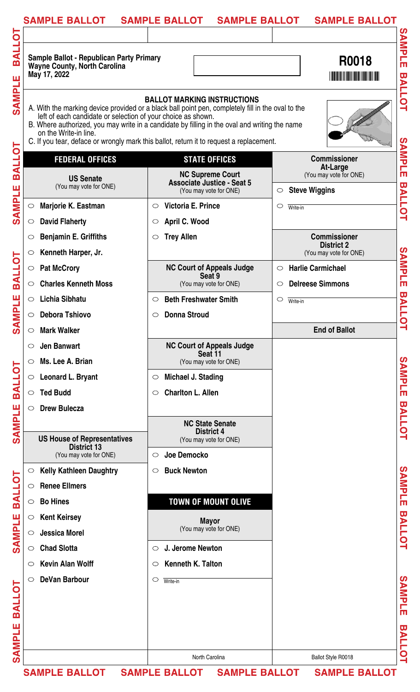| <b>SAMPLE BALLOT</b>                                                                                   | <b>SAMPLE BALLOT</b><br><b>SAMPLE BALLOT</b>                                                                                                                                                                                                                                                                                        | <b>SAMPLE BALLOT</b>                                    |
|--------------------------------------------------------------------------------------------------------|-------------------------------------------------------------------------------------------------------------------------------------------------------------------------------------------------------------------------------------------------------------------------------------------------------------------------------------|---------------------------------------------------------|
|                                                                                                        |                                                                                                                                                                                                                                                                                                                                     |                                                         |
| <b>Sample Ballot - Republican Party Primary</b><br><b>Wayne County, North Carolina</b><br>May 17, 2022 |                                                                                                                                                                                                                                                                                                                                     | R0018                                                   |
| left of each candidate or selection of your choice as shown.<br>on the Write-in line.                  | <b>BALLOT MARKING INSTRUCTIONS</b><br>A. With the marking device provided or a black ball point pen, completely fill in the oval to the<br>B. Where authorized, you may write in a candidate by filling in the oval and writing the name<br>C. If you tear, deface or wrongly mark this ballot, return it to request a replacement. |                                                         |
| <b>FEDERAL OFFICES</b>                                                                                 | <b>STATE OFFICES</b>                                                                                                                                                                                                                                                                                                                | <b>Commissioner</b>                                     |
| <b>US Senate</b><br>(You may vote for ONE)                                                             | <b>NC Supreme Court</b><br><b>Associate Justice - Seat 5</b>                                                                                                                                                                                                                                                                        | At-Large<br>(You may vote for ONE)                      |
|                                                                                                        | (You may vote for ONE)                                                                                                                                                                                                                                                                                                              | <b>Steve Wiggins</b><br>$\circ$                         |
| <b>Marjorie K. Eastman</b><br>$\bigcirc$                                                               | Victoria E. Prince<br>$\circ$                                                                                                                                                                                                                                                                                                       | $\circ$<br>Write-in                                     |
| <b>David Flaherty</b><br>$\circ$                                                                       | April C. Wood<br>$\circ$                                                                                                                                                                                                                                                                                                            |                                                         |
| <b>Benjamin E. Griffiths</b><br>$\circ$                                                                | <b>Trey Allen</b><br>$\circ$                                                                                                                                                                                                                                                                                                        | <b>Commissioner</b><br><b>District 2</b>                |
| Kenneth Harper, Jr.<br>$\circ$                                                                         |                                                                                                                                                                                                                                                                                                                                     | (You may vote for ONE)                                  |
| <b>Pat McCrory</b><br>$\circ$                                                                          | <b>NC Court of Appeals Judge</b><br>Seat 9                                                                                                                                                                                                                                                                                          | <b>Harlie Carmichael</b><br>$\circ$                     |
| <b>Charles Kenneth Moss</b><br>$\circ$                                                                 | (You may vote for ONE)                                                                                                                                                                                                                                                                                                              | <b>Delreese Simmons</b><br>$\circ$                      |
| <b>Lichia Sibhatu</b><br>$\circ$                                                                       | <b>Beth Freshwater Smith</b><br>$\circ$                                                                                                                                                                                                                                                                                             | $\circ$<br>Write-in                                     |
| <b>Debora Tshiovo</b>                                                                                  | <b>Donna Stroud</b><br>$\circ$                                                                                                                                                                                                                                                                                                      |                                                         |
| <b>Mark Walker</b><br>$\circ$                                                                          |                                                                                                                                                                                                                                                                                                                                     | <b>End of Ballot</b>                                    |
| <b>Jen Banwart</b><br>$\circ$<br>Ms. Lee A. Brian                                                      | <b>NC Court of Appeals Judge</b><br>Seat 11                                                                                                                                                                                                                                                                                         |                                                         |
| $\circ$                                                                                                | (You may vote for ONE)                                                                                                                                                                                                                                                                                                              |                                                         |
| Leonard L. Bryant<br>$\circ$                                                                           | Michael J. Stading<br>$\circ$                                                                                                                                                                                                                                                                                                       |                                                         |
| <b>Ted Budd</b><br>$\circ$                                                                             | <b>Charlton L. Allen</b><br>$\circ$                                                                                                                                                                                                                                                                                                 |                                                         |
| <b>Drew Bulecza</b><br>$\circ$                                                                         |                                                                                                                                                                                                                                                                                                                                     |                                                         |
|                                                                                                        | <b>NC State Senate</b><br><b>District 4</b>                                                                                                                                                                                                                                                                                         |                                                         |
| <b>US House of Representatives</b><br><b>District 13</b>                                               | (You may vote for ONE)                                                                                                                                                                                                                                                                                                              |                                                         |
| (You may vote for ONE)                                                                                 | Joe Democko<br>$\circ$                                                                                                                                                                                                                                                                                                              |                                                         |
| <b>Kelly Kathleen Daughtry</b><br>$\circ$                                                              | <b>Buck Newton</b><br>$\circ$                                                                                                                                                                                                                                                                                                       |                                                         |
| <b>Renee Ellmers</b><br>$\circ$                                                                        |                                                                                                                                                                                                                                                                                                                                     |                                                         |
| <b>Bo Hines</b><br>$\circ$                                                                             | <b>TOWN OF MOUNT OLIVE</b>                                                                                                                                                                                                                                                                                                          |                                                         |
| <b>Kent Keirsey</b><br>$\circ$                                                                         | <b>Mayor</b><br>(You may vote for ONE)                                                                                                                                                                                                                                                                                              |                                                         |
| <b>Jessica Morel</b><br>$\circ$                                                                        |                                                                                                                                                                                                                                                                                                                                     |                                                         |
| <b>Chad Slotta</b><br>$\circ$                                                                          | J. Jerome Newton<br>$\circ$                                                                                                                                                                                                                                                                                                         |                                                         |
| <b>Kevin Alan Wolff</b><br>$\circ$                                                                     | <b>Kenneth K. Talton</b><br>$\circ$                                                                                                                                                                                                                                                                                                 |                                                         |
| <b>DeVan Barbour</b><br>$\circ$                                                                        | $\circ$<br>Write-in                                                                                                                                                                                                                                                                                                                 |                                                         |
|                                                                                                        |                                                                                                                                                                                                                                                                                                                                     |                                                         |
|                                                                                                        |                                                                                                                                                                                                                                                                                                                                     |                                                         |
|                                                                                                        |                                                                                                                                                                                                                                                                                                                                     |                                                         |
|                                                                                                        | North Carolina                                                                                                                                                                                                                                                                                                                      | Ballot Style R0018                                      |
|                                                                                                        |                                                                                                                                                                                                                                                                                                                                     | SAMPLE BALLOT SAMPLE BALLOT SAMPLE BALLOT SAMPLE BALLOT |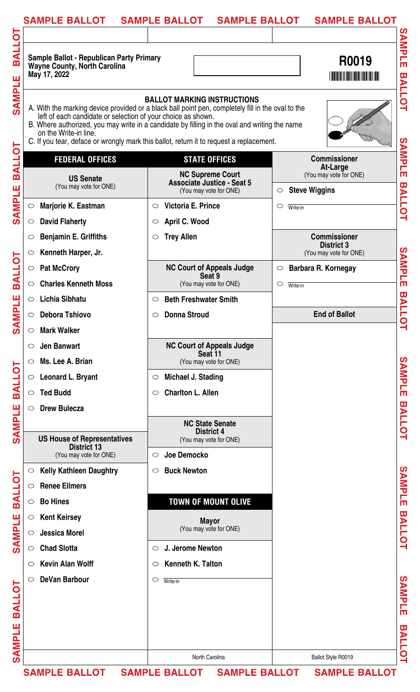| <b>SAMPLE BALLOT</b>                                                                                   | <b>SAMPLE BALLOT</b><br><b>SAMPLE BALLOT</b>                                                                                                                                                                                                                                                                                        | <b>SAMPLE BALLOT</b>                                                  |
|--------------------------------------------------------------------------------------------------------|-------------------------------------------------------------------------------------------------------------------------------------------------------------------------------------------------------------------------------------------------------------------------------------------------------------------------------------|-----------------------------------------------------------------------|
| <b>Sample Ballot - Republican Party Primary</b><br><b>Wayne County, North Carolina</b><br>May 17, 2022 |                                                                                                                                                                                                                                                                                                                                     | R0019                                                                 |
| left of each candidate or selection of your choice as shown.<br>on the Write-in line.                  | <b>BALLOT MARKING INSTRUCTIONS</b><br>A. With the marking device provided or a black ball point pen, completely fill in the oval to the<br>B. Where authorized, you may write in a candidate by filling in the oval and writing the name<br>C. If you tear, deface or wrongly mark this ballot, return it to request a replacement. |                                                                       |
| <b>FEDERAL OFFICES</b>                                                                                 | <b>STATE OFFICES</b>                                                                                                                                                                                                                                                                                                                | <b>Commissioner</b>                                                   |
| <b>US Senate</b><br>(You may vote for ONE)                                                             | <b>NC Supreme Court</b><br><b>Associate Justice - Seat 5</b><br>(You may vote for ONE)                                                                                                                                                                                                                                              | At-Large<br>(You may vote for ONE)<br><b>Steve Wiggins</b><br>$\circ$ |
| Marjorie K. Eastman<br>$\circ$                                                                         | Victoria E. Prince<br>$\circ$                                                                                                                                                                                                                                                                                                       | $\circ$<br>Write-in                                                   |
| <b>David Flaherty</b><br>$\circ$                                                                       | April C. Wood<br>$\circ$                                                                                                                                                                                                                                                                                                            |                                                                       |
| <b>Benjamin E. Griffiths</b><br>$\circlearrowright$                                                    | <b>Trey Allen</b><br>$\circ$                                                                                                                                                                                                                                                                                                        | <b>Commissioner</b>                                                   |
| Kenneth Harper, Jr.<br>$\circ$                                                                         |                                                                                                                                                                                                                                                                                                                                     | <b>District 3</b><br>(You may vote for ONE)                           |
| <b>Pat McCrory</b><br>$\bigcirc$                                                                       | <b>NC Court of Appeals Judge</b>                                                                                                                                                                                                                                                                                                    | Barbara R. Kornegay<br>$\circ$                                        |
| <b>Charles Kenneth Moss</b><br>$\circ$                                                                 | Seat 9<br>(You may vote for ONE)                                                                                                                                                                                                                                                                                                    | $\circ$<br>Write-in                                                   |
| <b>Lichia Sibhatu</b><br>$\circ$                                                                       | <b>Beth Freshwater Smith</b><br>$\circ$                                                                                                                                                                                                                                                                                             |                                                                       |
| <b>Debora Tshiovo</b>                                                                                  | <b>Donna Stroud</b><br>$\circ$                                                                                                                                                                                                                                                                                                      | <b>End of Ballot</b>                                                  |
| <b>Mark Walker</b><br>$\circ$                                                                          |                                                                                                                                                                                                                                                                                                                                     |                                                                       |
| <b>Jen Banwart</b>                                                                                     | <b>NC Court of Appeals Judge</b>                                                                                                                                                                                                                                                                                                    |                                                                       |
| Ms. Lee A. Brian<br>$\circ$                                                                            | Seat 11<br>(You may vote for ONE)                                                                                                                                                                                                                                                                                                   |                                                                       |
| <b>Leonard L. Bryant</b><br>$\circ$                                                                    | Michael J. Stading<br>$\circ$                                                                                                                                                                                                                                                                                                       |                                                                       |
| <b>Ted Budd</b><br>$\circ$                                                                             | <b>Charlton L. Allen</b><br>$\circlearrowright$                                                                                                                                                                                                                                                                                     |                                                                       |
| <b>Drew Bulecza</b><br>$\circ$                                                                         |                                                                                                                                                                                                                                                                                                                                     |                                                                       |
|                                                                                                        | <b>NC State Senate</b>                                                                                                                                                                                                                                                                                                              |                                                                       |
| <b>US House of Representatives</b>                                                                     | <b>District 4</b><br>(You may vote for ONE)                                                                                                                                                                                                                                                                                         |                                                                       |
| <b>District 13</b><br>(You may vote for ONE)                                                           | Joe Democko<br>$\circ$                                                                                                                                                                                                                                                                                                              |                                                                       |
| <b>Kelly Kathleen Daughtry</b><br>$\circ$                                                              | <b>Buck Newton</b><br>$\circ$                                                                                                                                                                                                                                                                                                       |                                                                       |
| <b>Renee Ellmers</b><br>$\circ$                                                                        |                                                                                                                                                                                                                                                                                                                                     |                                                                       |
| <b>Bo Hines</b><br>$\circ$                                                                             | <b>TOWN OF MOUNT OLIVE</b>                                                                                                                                                                                                                                                                                                          |                                                                       |
| <b>Kent Keirsey</b><br>$\circ$                                                                         |                                                                                                                                                                                                                                                                                                                                     |                                                                       |
| <b>Jessica Morel</b><br>$\circ$                                                                        | <b>Mayor</b><br>(You may vote for ONE)                                                                                                                                                                                                                                                                                              |                                                                       |
| <b>Chad Slotta</b><br>$\circ$                                                                          | J. Jerome Newton<br>$\circ$                                                                                                                                                                                                                                                                                                         |                                                                       |
| <b>Kevin Alan Wolff</b><br>$\circ$                                                                     | <b>Kenneth K. Talton</b><br>$\circ$                                                                                                                                                                                                                                                                                                 |                                                                       |
| <b>DeVan Barbour</b><br>$\circ$                                                                        | O<br>Write-in                                                                                                                                                                                                                                                                                                                       |                                                                       |
|                                                                                                        |                                                                                                                                                                                                                                                                                                                                     |                                                                       |
|                                                                                                        |                                                                                                                                                                                                                                                                                                                                     |                                                                       |
|                                                                                                        |                                                                                                                                                                                                                                                                                                                                     |                                                                       |
|                                                                                                        |                                                                                                                                                                                                                                                                                                                                     |                                                                       |
|                                                                                                        |                                                                                                                                                                                                                                                                                                                                     |                                                                       |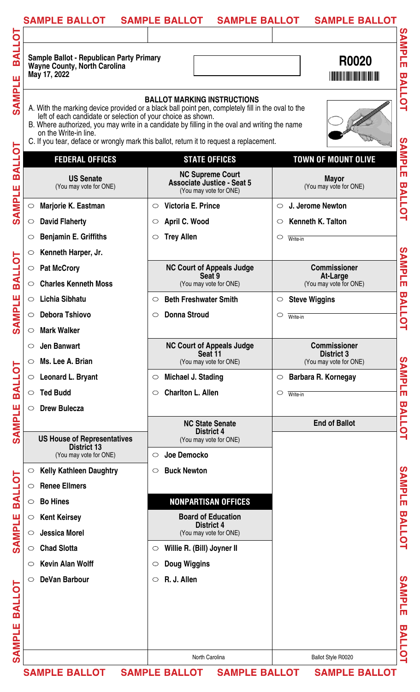| <b>SAMPLE BALLOT</b>                                                                                   | <b>SAMPLE BALLOT</b><br><b>SAMPLE BALLOT</b>                                                                                                                                                                                                                                                                                        | <b>SAMPLE BALLOT</b>                        |
|--------------------------------------------------------------------------------------------------------|-------------------------------------------------------------------------------------------------------------------------------------------------------------------------------------------------------------------------------------------------------------------------------------------------------------------------------------|---------------------------------------------|
|                                                                                                        |                                                                                                                                                                                                                                                                                                                                     |                                             |
| <b>Sample Ballot - Republican Party Primary</b><br><b>Wayne County, North Carolina</b><br>May 17, 2022 |                                                                                                                                                                                                                                                                                                                                     | R0020                                       |
| left of each candidate or selection of your choice as shown.<br>on the Write-in line.                  | <b>BALLOT MARKING INSTRUCTIONS</b><br>A. With the marking device provided or a black ball point pen, completely fill in the oval to the<br>B. Where authorized, you may write in a candidate by filling in the oval and writing the name<br>C. If you tear, deface or wrongly mark this ballot, return it to request a replacement. |                                             |
| <b>FEDERAL OFFICES</b>                                                                                 | <b>STATE OFFICES</b>                                                                                                                                                                                                                                                                                                                | <b>TOWN OF MOUNT OLIVE</b>                  |
| <b>US Senate</b><br>(You may vote for ONE)                                                             | <b>NC Supreme Court</b><br><b>Associate Justice - Seat 5</b><br>(You may vote for ONE)                                                                                                                                                                                                                                              | <b>Mayor</b><br>(You may vote for ONE)      |
| Marjorie K. Eastman<br>$\circ$                                                                         | Victoria E. Prince<br>$\circ$                                                                                                                                                                                                                                                                                                       | J. Jerome Newton<br>$\circ$                 |
| <b>David Flaherty</b>                                                                                  | April C. Wood<br>$\circ$                                                                                                                                                                                                                                                                                                            | Kenneth K. Talton<br>$\circ$                |
| <b>Benjamin E. Griffiths</b><br>$\circ$                                                                | <b>Trey Allen</b><br>$\circlearrowright$                                                                                                                                                                                                                                                                                            | $\circ$<br>Write-in                         |
| Kenneth Harper, Jr.<br>$\circ$                                                                         |                                                                                                                                                                                                                                                                                                                                     |                                             |
| <b>Pat McCrory</b><br>$\bigcirc$                                                                       | <b>NC Court of Appeals Judge</b>                                                                                                                                                                                                                                                                                                    | <b>Commissioner</b>                         |
| <b>Charles Kenneth Moss</b><br>$\circ$                                                                 | Seat 9<br>(You may vote for ONE)                                                                                                                                                                                                                                                                                                    | At-Large<br>(You may vote for ONE)          |
| Lichia Sibhatu<br>$\circ$                                                                              | <b>Beth Freshwater Smith</b><br>$\circ$                                                                                                                                                                                                                                                                                             | <b>Steve Wiggins</b><br>$\circ$             |
| <b>Debora Tshiovo</b><br>$\circ$                                                                       | <b>Donna Stroud</b><br>O                                                                                                                                                                                                                                                                                                            | $\circ$<br>Write-in                         |
| <b>Mark Walker</b><br>$\circ$                                                                          |                                                                                                                                                                                                                                                                                                                                     |                                             |
| <b>Jen Banwart</b><br>$\circ$                                                                          | <b>NC Court of Appeals Judge</b>                                                                                                                                                                                                                                                                                                    | <b>Commissioner</b>                         |
| Ms. Lee A. Brian<br>$\circ$                                                                            | Seat 11<br>(You may vote for ONE)                                                                                                                                                                                                                                                                                                   | <b>District 3</b><br>(You may vote for ONE) |
| <b>Leonard L. Bryant</b><br>$\circ$                                                                    | Michael J. Stading<br>$\circ$                                                                                                                                                                                                                                                                                                       | Barbara R. Kornegay<br>$\circ$              |
| <b>Ted Budd</b><br>$\circ$                                                                             | <b>Charlton L. Allen</b><br>$\circlearrowright$                                                                                                                                                                                                                                                                                     | $\circ$<br>Write-in                         |
| <b>Drew Bulecza</b><br>$\circ$                                                                         |                                                                                                                                                                                                                                                                                                                                     |                                             |
|                                                                                                        | <b>NC State Senate</b>                                                                                                                                                                                                                                                                                                              | <b>End of Ballot</b>                        |
| <b>US House of Representatives</b>                                                                     | <b>District 4</b><br>(You may vote for ONE)                                                                                                                                                                                                                                                                                         |                                             |
| <b>District 13</b><br>(You may vote for ONE)                                                           | Joe Democko<br>$\circ$                                                                                                                                                                                                                                                                                                              |                                             |
| <b>Kelly Kathleen Daughtry</b><br>$\circ$                                                              | <b>Buck Newton</b><br>$\circ$                                                                                                                                                                                                                                                                                                       |                                             |
| <b>Renee Ellmers</b><br>$\circ$                                                                        |                                                                                                                                                                                                                                                                                                                                     |                                             |
| <b>Bo Hines</b><br>$\circ$                                                                             | <b>NONPARTISAN OFFICES</b>                                                                                                                                                                                                                                                                                                          |                                             |
| <b>Kent Keirsey</b><br>$\circ$                                                                         | <b>Board of Education</b>                                                                                                                                                                                                                                                                                                           |                                             |
| <b>Jessica Morel</b><br>$\circ$                                                                        | <b>District 4</b><br>(You may vote for ONE)                                                                                                                                                                                                                                                                                         |                                             |
| <b>Chad Slotta</b><br>$\circ$                                                                          | Willie R. (Bill) Joyner II<br>$\circ$                                                                                                                                                                                                                                                                                               |                                             |
| <b>Kevin Alan Wolff</b><br>$\circ$                                                                     | <b>Doug Wiggins</b><br>$\circ$                                                                                                                                                                                                                                                                                                      |                                             |
| <b>DeVan Barbour</b><br>$\circ$                                                                        | R. J. Allen<br>$\circ$                                                                                                                                                                                                                                                                                                              |                                             |
|                                                                                                        |                                                                                                                                                                                                                                                                                                                                     |                                             |
|                                                                                                        |                                                                                                                                                                                                                                                                                                                                     |                                             |
|                                                                                                        |                                                                                                                                                                                                                                                                                                                                     |                                             |
|                                                                                                        |                                                                                                                                                                                                                                                                                                                                     |                                             |
|                                                                                                        | North Carolina                                                                                                                                                                                                                                                                                                                      |                                             |
|                                                                                                        | SAMPLE BALLOT SAMPLE BALLOT SAMPLE BALLOT SAMPLE BALLOT                                                                                                                                                                                                                                                                             | Ballot Style R0020                          |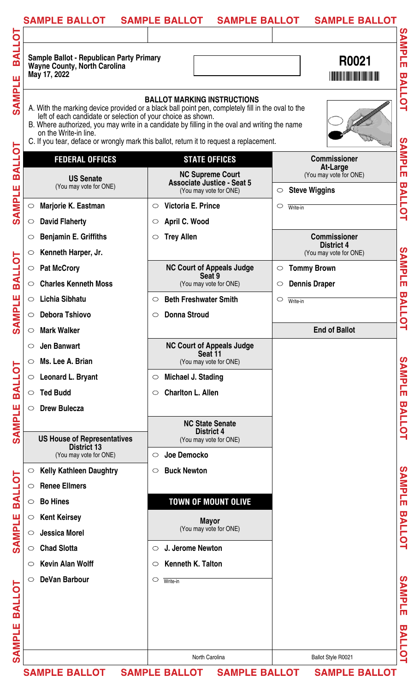| <b>SAMPLE BALLOT</b>                                                                                   | <b>SAMPLE BALLOT</b><br><b>SAMPLE BALLOT</b>                                                                                                                                                                                                                                                                                        | <b>SAMPLE BALLOT</b>                                                                                                          |
|--------------------------------------------------------------------------------------------------------|-------------------------------------------------------------------------------------------------------------------------------------------------------------------------------------------------------------------------------------------------------------------------------------------------------------------------------------|-------------------------------------------------------------------------------------------------------------------------------|
| <b>Sample Ballot - Republican Party Primary</b><br><b>Wayne County, North Carolina</b><br>May 17, 2022 |                                                                                                                                                                                                                                                                                                                                     | R0021<br><b>THE REAL PROPERTY OF A SET OF A SET OF A SET OF A SET OF A SET OF A SET OF A SET OF A SET OF A SET OF A SET O</b> |
| left of each candidate or selection of your choice as shown.<br>on the Write-in line.                  | <b>BALLOT MARKING INSTRUCTIONS</b><br>A. With the marking device provided or a black ball point pen, completely fill in the oval to the<br>B. Where authorized, you may write in a candidate by filling in the oval and writing the name<br>C. If you tear, deface or wrongly mark this ballot, return it to request a replacement. |                                                                                                                               |
| <b>FEDERAL OFFICES</b>                                                                                 | <b>STATE OFFICES</b>                                                                                                                                                                                                                                                                                                                | <b>Commissioner</b>                                                                                                           |
| <b>US Senate</b><br>(You may vote for ONE)                                                             | <b>NC Supreme Court</b><br><b>Associate Justice - Seat 5</b>                                                                                                                                                                                                                                                                        | <b>At-Large</b><br>(You may vote for ONE)                                                                                     |
|                                                                                                        | (You may vote for ONE)                                                                                                                                                                                                                                                                                                              | <b>Steve Wiggins</b><br>$\circ$                                                                                               |
| Marjorie K. Eastman<br>$\bigcirc$                                                                      | Victoria E. Prince<br>$\circ$                                                                                                                                                                                                                                                                                                       | $\circ$<br>Write-in                                                                                                           |
| <b>David Flaherty</b><br>$\circ$                                                                       | April C. Wood<br>$\circ$                                                                                                                                                                                                                                                                                                            |                                                                                                                               |
| <b>Benjamin E. Griffiths</b><br>$\circlearrowright$                                                    | <b>Trey Allen</b><br>$\circ$                                                                                                                                                                                                                                                                                                        | <b>Commissioner</b><br><b>District 4</b>                                                                                      |
| Kenneth Harper, Jr.<br>$\circ$                                                                         |                                                                                                                                                                                                                                                                                                                                     | (You may vote for ONE)                                                                                                        |
| <b>Pat McCrory</b><br>$\bigcirc$                                                                       | <b>NC Court of Appeals Judge</b><br>Seat 9                                                                                                                                                                                                                                                                                          | <b>Tommy Brown</b><br>$\circ$                                                                                                 |
| <b>Charles Kenneth Moss</b><br>$\circ$                                                                 | (You may vote for ONE)                                                                                                                                                                                                                                                                                                              | <b>Dennis Draper</b><br>$\circ$                                                                                               |
| <b>Lichia Sibhatu</b><br>$\circ$                                                                       | <b>Beth Freshwater Smith</b><br>$\circ$                                                                                                                                                                                                                                                                                             | $\circlearrowright$<br>Write-in                                                                                               |
| <b>Debora Tshiovo</b>                                                                                  | <b>Donna Stroud</b><br>$\circ$                                                                                                                                                                                                                                                                                                      |                                                                                                                               |
| <b>Mark Walker</b><br>$\circ$                                                                          |                                                                                                                                                                                                                                                                                                                                     | <b>End of Ballot</b>                                                                                                          |
| <b>Jen Banwart</b><br>$\circ$                                                                          | <b>NC Court of Appeals Judge</b><br>Seat 11                                                                                                                                                                                                                                                                                         |                                                                                                                               |
| Ms. Lee A. Brian<br>$\circ$                                                                            | (You may vote for ONE)                                                                                                                                                                                                                                                                                                              |                                                                                                                               |
| Leonard L. Bryant<br>$\circ$                                                                           | Michael J. Stading<br>$\circ$                                                                                                                                                                                                                                                                                                       |                                                                                                                               |
| <b>Ted Budd</b><br>$\circ$                                                                             | <b>Charlton L. Allen</b><br>$\circ$                                                                                                                                                                                                                                                                                                 |                                                                                                                               |
| <b>Drew Bulecza</b><br>$\circ$                                                                         |                                                                                                                                                                                                                                                                                                                                     |                                                                                                                               |
|                                                                                                        | <b>NC State Senate</b><br><b>District 4</b>                                                                                                                                                                                                                                                                                         |                                                                                                                               |
| <b>US House of Representatives</b><br><b>District 13</b>                                               | (You may vote for ONE)                                                                                                                                                                                                                                                                                                              |                                                                                                                               |
| (You may vote for ONE)                                                                                 | Joe Democko<br>$\circ$                                                                                                                                                                                                                                                                                                              |                                                                                                                               |
| <b>Kelly Kathleen Daughtry</b><br>$\circ$                                                              | <b>Buck Newton</b><br>$\circ$                                                                                                                                                                                                                                                                                                       |                                                                                                                               |
| <b>Renee Ellmers</b><br>$\circ$                                                                        |                                                                                                                                                                                                                                                                                                                                     |                                                                                                                               |
| <b>Bo Hines</b><br>$\circ$                                                                             | <b>TOWN OF MOUNT OLIVE</b>                                                                                                                                                                                                                                                                                                          |                                                                                                                               |
| <b>Kent Keirsey</b><br>$\circ$                                                                         | <b>Mayor</b>                                                                                                                                                                                                                                                                                                                        |                                                                                                                               |
| <b>Jessica Morel</b><br>$\circ$                                                                        | (You may vote for ONE)                                                                                                                                                                                                                                                                                                              |                                                                                                                               |
| <b>Chad Slotta</b><br>$\circ$                                                                          | J. Jerome Newton<br>$\circ$                                                                                                                                                                                                                                                                                                         |                                                                                                                               |
| <b>Kevin Alan Wolff</b><br>$\circ$                                                                     | Kenneth K. Talton<br>$\circ$                                                                                                                                                                                                                                                                                                        |                                                                                                                               |
| <b>DeVan Barbour</b><br>$\circ$                                                                        | O<br>Write-in                                                                                                                                                                                                                                                                                                                       |                                                                                                                               |
|                                                                                                        |                                                                                                                                                                                                                                                                                                                                     |                                                                                                                               |
|                                                                                                        |                                                                                                                                                                                                                                                                                                                                     |                                                                                                                               |
|                                                                                                        |                                                                                                                                                                                                                                                                                                                                     |                                                                                                                               |
|                                                                                                        |                                                                                                                                                                                                                                                                                                                                     |                                                                                                                               |
|                                                                                                        |                                                                                                                                                                                                                                                                                                                                     |                                                                                                                               |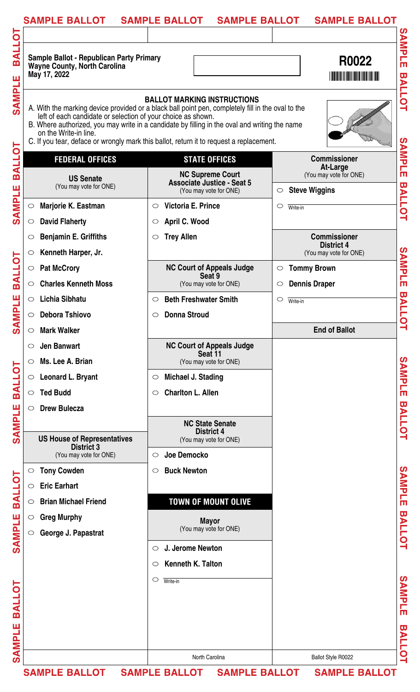| <b>SAMPLE BALLOT</b>                                                                            | <b>SAMPLE BALLOT</b><br><b>SAMPLE BALLOT</b>                                                                                                                                                                                                                                                                                        | <b>SAMPLE BALLOT</b>                      |
|-------------------------------------------------------------------------------------------------|-------------------------------------------------------------------------------------------------------------------------------------------------------------------------------------------------------------------------------------------------------------------------------------------------------------------------------------|-------------------------------------------|
| Sample Ballot - Republican Party Primary<br><b>Wayne County, North Carolina</b><br>May 17, 2022 |                                                                                                                                                                                                                                                                                                                                     | R0022                                     |
| left of each candidate or selection of your choice as shown.<br>on the Write-in line.           | <b>BALLOT MARKING INSTRUCTIONS</b><br>A. With the marking device provided or a black ball point pen, completely fill in the oval to the<br>B. Where authorized, you may write in a candidate by filling in the oval and writing the name<br>C. If you tear, deface or wrongly mark this ballot, return it to request a replacement. |                                           |
| <b>FEDERAL OFFICES</b>                                                                          | <b>STATE OFFICES</b>                                                                                                                                                                                                                                                                                                                | <b>Commissioner</b>                       |
| <b>US Senate</b><br>(You may vote for ONE)                                                      | <b>NC Supreme Court</b><br><b>Associate Justice - Seat 5</b>                                                                                                                                                                                                                                                                        | <b>At-Large</b><br>(You may vote for ONE) |
|                                                                                                 | (You may vote for ONE)                                                                                                                                                                                                                                                                                                              | <b>Steve Wiggins</b><br>$\circ$           |
| Marjorie K. Eastman<br>$\circ$                                                                  | Victoria E. Prince<br>$\circ$                                                                                                                                                                                                                                                                                                       | $\circ$<br>Write-in                       |
| <b>David Flaherty</b><br>$\circ$                                                                | April C. Wood<br>$\circ$                                                                                                                                                                                                                                                                                                            |                                           |
| <b>Benjamin E. Griffiths</b><br>$\circlearrowright$                                             | <b>Trey Allen</b><br>$\circ$                                                                                                                                                                                                                                                                                                        | <b>Commissioner</b><br><b>District 4</b>  |
| Kenneth Harper, Jr.<br>$\circ$                                                                  |                                                                                                                                                                                                                                                                                                                                     | (You may vote for ONE)                    |
| <b>Pat McCrory</b><br>$\bigcirc$                                                                | <b>NC Court of Appeals Judge</b>                                                                                                                                                                                                                                                                                                    | <b>Tommy Brown</b><br>$\circ$             |
| <b>Charles Kenneth Moss</b><br>$\circ$                                                          | Seat 9<br>(You may vote for ONE)                                                                                                                                                                                                                                                                                                    | <b>Dennis Draper</b><br>$\circ$           |
| <b>Lichia Sibhatu</b><br>$\circ$                                                                | <b>Beth Freshwater Smith</b><br>$\circ$                                                                                                                                                                                                                                                                                             | $\circ$<br>Write-in                       |
| <b>Debora Tshiovo</b>                                                                           | <b>Donna Stroud</b><br>O                                                                                                                                                                                                                                                                                                            |                                           |
| <b>Mark Walker</b><br>$\circ$                                                                   |                                                                                                                                                                                                                                                                                                                                     | <b>End of Ballot</b>                      |
| <b>Jen Banwart</b><br>$\circ$                                                                   | <b>NC Court of Appeals Judge</b>                                                                                                                                                                                                                                                                                                    |                                           |
| Ms. Lee A. Brian<br>$\circ$                                                                     | Seat 11<br>(You may vote for ONE)                                                                                                                                                                                                                                                                                                   |                                           |
| Leonard L. Bryant<br>$\circ$                                                                    | Michael J. Stading<br>$\circ$                                                                                                                                                                                                                                                                                                       |                                           |
| <b>Ted Budd</b><br>$\circ$                                                                      | <b>Charlton L. Allen</b><br>$\circlearrowright$                                                                                                                                                                                                                                                                                     |                                           |
| <b>Drew Bulecza</b><br>$\circlearrowright$                                                      |                                                                                                                                                                                                                                                                                                                                     |                                           |
|                                                                                                 | <b>NC State Senate</b>                                                                                                                                                                                                                                                                                                              |                                           |
|                                                                                                 | <b>District 4</b>                                                                                                                                                                                                                                                                                                                   |                                           |
| <b>US House of Representatives</b><br><b>District 3</b>                                         | (You may vote for ONE)                                                                                                                                                                                                                                                                                                              |                                           |
| (You may vote for ONE)                                                                          | Joe Democko<br>$\circ$                                                                                                                                                                                                                                                                                                              |                                           |
| <b>Tony Cowden</b><br>$\bigcirc$                                                                | <b>Buck Newton</b><br>$\circ$                                                                                                                                                                                                                                                                                                       |                                           |
| <b>Eric Earhart</b><br>$\circ$                                                                  |                                                                                                                                                                                                                                                                                                                                     |                                           |
| <b>Brian Michael Friend</b><br>$\circ$                                                          | <b>TOWN OF MOUNT OLIVE</b>                                                                                                                                                                                                                                                                                                          |                                           |
| <b>Greg Murphy</b><br>$\circ$                                                                   | <b>Mayor</b>                                                                                                                                                                                                                                                                                                                        |                                           |
| George J. Papastrat<br>$\circ$                                                                  | (You may vote for ONE)                                                                                                                                                                                                                                                                                                              |                                           |
|                                                                                                 | J. Jerome Newton<br>$\bigcirc$                                                                                                                                                                                                                                                                                                      |                                           |
|                                                                                                 | <b>Kenneth K. Talton</b><br>$\circ$                                                                                                                                                                                                                                                                                                 |                                           |
|                                                                                                 | O<br>Write-in                                                                                                                                                                                                                                                                                                                       |                                           |
|                                                                                                 |                                                                                                                                                                                                                                                                                                                                     |                                           |
|                                                                                                 |                                                                                                                                                                                                                                                                                                                                     |                                           |
|                                                                                                 |                                                                                                                                                                                                                                                                                                                                     |                                           |
|                                                                                                 |                                                                                                                                                                                                                                                                                                                                     |                                           |
|                                                                                                 | North Carolina                                                                                                                                                                                                                                                                                                                      | Ballot Style R0022                        |
|                                                                                                 | SAMPLE BALLOT SAMPLE BALLOT SAMPLE BALLOT SAMPLE BALLOT                                                                                                                                                                                                                                                                             |                                           |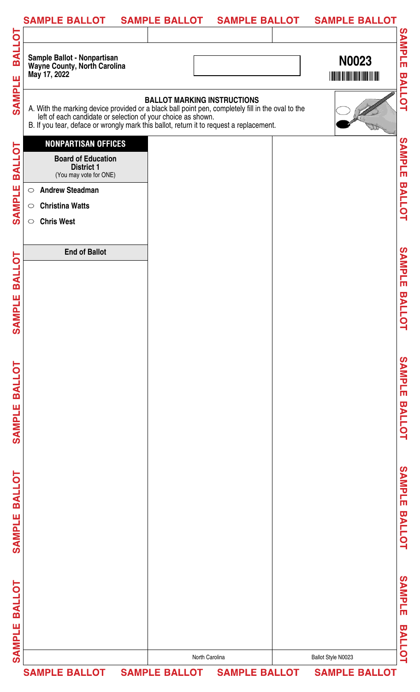| SAMPLE BALLOT  SAMPLE BALLOT  SAMPLE BALLOT  SAMPLE BALLOT                                                                                                                                                                        |                                    |                                                             |
|-----------------------------------------------------------------------------------------------------------------------------------------------------------------------------------------------------------------------------------|------------------------------------|-------------------------------------------------------------|
| Sample Ballot - Nonpartisan<br>Wayne County, North Carolina<br>May 17, 2022                                                                                                                                                       |                                    | <b>N0023</b><br><b>THE REAL PROPERTY OF A REAL PROPERTY</b> |
| A. With the marking device provided or a black ball point pen, completely fill in the oval to the left of each candidate or selection of your choice as shown.<br>B. If you tear, deface or wrongly mark this ballot, return it t | <b>BALLOT MARKING INSTRUCTIONS</b> |                                                             |
| <b>NONPARTISAN OFFICES</b><br><b>Board of Education</b><br><b>District 1</b><br>(You may vote for ONE)                                                                                                                            |                                    |                                                             |
| <b>Andrew Steadman</b><br>$\bigcirc$                                                                                                                                                                                              |                                    |                                                             |
| <b>Christina Watts</b><br>$\bigcirc$<br><b>Chris West</b><br>$\circ$                                                                                                                                                              |                                    |                                                             |
| <b>End of Ballot</b>                                                                                                                                                                                                              |                                    |                                                             |
|                                                                                                                                                                                                                                   |                                    |                                                             |
|                                                                                                                                                                                                                                   |                                    |                                                             |
|                                                                                                                                                                                                                                   |                                    |                                                             |
|                                                                                                                                                                                                                                   |                                    |                                                             |
|                                                                                                                                                                                                                                   |                                    |                                                             |
|                                                                                                                                                                                                                                   |                                    |                                                             |
|                                                                                                                                                                                                                                   |                                    |                                                             |
|                                                                                                                                                                                                                                   |                                    |                                                             |
|                                                                                                                                                                                                                                   |                                    |                                                             |
|                                                                                                                                                                                                                                   |                                    |                                                             |
|                                                                                                                                                                                                                                   |                                    |                                                             |
|                                                                                                                                                                                                                                   | North Carolina                     | Ballot Style N0023                                          |
| SAMPLE BALLOT SAMPLE BALLOT SAMPLE BALLOT SAMPLE BALLOT                                                                                                                                                                           |                                    |                                                             |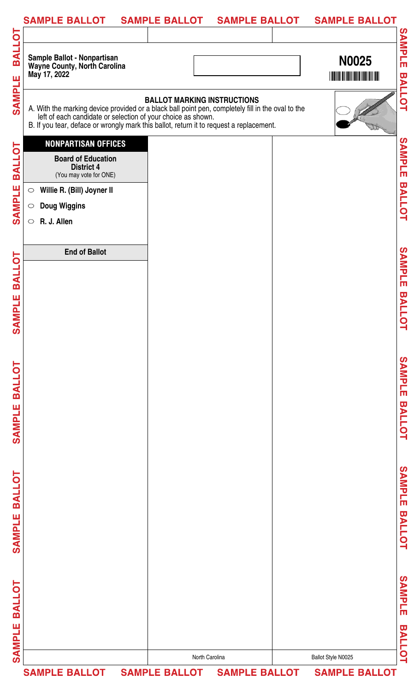| Sample Ballot - Nonpartisan<br>Wayne County, North Carolina<br><b>N0025</b><br><b>THE REAL PROPERTY OF A REAL PROPERTY</b><br><b>BALLOT MARKING INSTRUCTIONS</b><br>A. With the marking device provided or a black ball point pen, completely fill in the oval to the left of each candidate or selection of your choice as shown.<br>B. If you tear, deface or wrongly mark this ballot, return it t<br><b>NONPARTISAN OFFICES</b><br><b>Board of Education</b><br><b>District 4</b><br>(You may vote for ONE)<br>Willie R. (Bill) Joyner II<br>$\bigcirc$<br><b>Doug Wiggins</b><br>$\bigcirc$<br>R. J. Allen<br>$\circ$<br><b>End of Ballot</b> | SAMPLE BALLOT SAMPLE BALLOT SAMPLE BALLOT |  | <b>SAMPLE BALLOT</b> |
|----------------------------------------------------------------------------------------------------------------------------------------------------------------------------------------------------------------------------------------------------------------------------------------------------------------------------------------------------------------------------------------------------------------------------------------------------------------------------------------------------------------------------------------------------------------------------------------------------------------------------------------------------|-------------------------------------------|--|----------------------|
|                                                                                                                                                                                                                                                                                                                                                                                                                                                                                                                                                                                                                                                    | May 17, 2022                              |  |                      |
|                                                                                                                                                                                                                                                                                                                                                                                                                                                                                                                                                                                                                                                    |                                           |  |                      |
|                                                                                                                                                                                                                                                                                                                                                                                                                                                                                                                                                                                                                                                    |                                           |  |                      |
|                                                                                                                                                                                                                                                                                                                                                                                                                                                                                                                                                                                                                                                    |                                           |  |                      |
|                                                                                                                                                                                                                                                                                                                                                                                                                                                                                                                                                                                                                                                    |                                           |  |                      |
|                                                                                                                                                                                                                                                                                                                                                                                                                                                                                                                                                                                                                                                    |                                           |  |                      |
|                                                                                                                                                                                                                                                                                                                                                                                                                                                                                                                                                                                                                                                    |                                           |  |                      |
|                                                                                                                                                                                                                                                                                                                                                                                                                                                                                                                                                                                                                                                    |                                           |  |                      |
|                                                                                                                                                                                                                                                                                                                                                                                                                                                                                                                                                                                                                                                    |                                           |  |                      |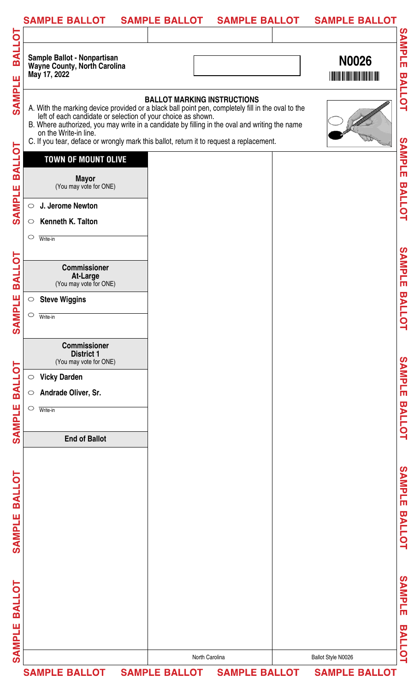|                         | <b>SAMPLE BALLOT</b>                                                                                                                                                                                                                                                                                                                                                                   | <b>SAMPLE BALLOT</b>               | <b>SAMPLE BALLOT</b>        |                    | <b>SAMPLE BALLOT</b>                                        |                                   |
|-------------------------|----------------------------------------------------------------------------------------------------------------------------------------------------------------------------------------------------------------------------------------------------------------------------------------------------------------------------------------------------------------------------------------|------------------------------------|-----------------------------|--------------------|-------------------------------------------------------------|-----------------------------------|
| <b>TOJIRE</b>           | Sample Ballot - Nonpartisan<br><b>Wayne County, North Carolina</b><br>May 17, 2022                                                                                                                                                                                                                                                                                                     |                                    |                             |                    | <b>N0026</b><br><b>THE REAL PROPERTY OF A REAL PROPERTY</b> | SAMPLE<br><b>BALLOT</b>           |
| SAMPLE                  | A. With the marking device provided or a black ball point pen, completely fill in the oval to the<br>left of each candidate or selection of your choice as shown.<br>B. Where authorized, you may write in a candidate by filling in the oval and writing the name<br>on the Write-in line.<br>C. If you tear, deface or wrongly mark this ballot, return it to request a replacement. | <b>BALLOT MARKING INSTRUCTIONS</b> |                             |                    |                                                             |                                   |
| <b>BALLOT</b><br>SAMPLE | <b>TOWN OF MOUNT OLIVE</b><br><b>Mayor</b><br>(You may vote for ONE)<br>J. Jerome Newton<br>$\circ$                                                                                                                                                                                                                                                                                    |                                    |                             |                    |                                                             | <b>SAMPLE</b><br><b>BALLOT</b>    |
|                         | Kenneth K. Talton<br>$\circ$<br>$\circ$<br>Write-in                                                                                                                                                                                                                                                                                                                                    |                                    |                             |                    |                                                             |                                   |
| <b>BALLOT</b>           | <b>Commissioner</b><br>At-Large<br>(You may vote for ONE)<br><b>Steve Wiggins</b><br>$\circ$                                                                                                                                                                                                                                                                                           |                                    |                             |                    |                                                             | <b>SAMPLE</b>                     |
| MPLE<br>$\mathbf{S}$    | $\circ$<br>Write-in<br><b>Commissioner</b><br><b>District 1</b>                                                                                                                                                                                                                                                                                                                        |                                    |                             |                    |                                                             | <b>BALLOT</b>                     |
| <b>TOJIRE</b>           | (You may vote for ONE)<br><b>Vicky Darden</b><br>$\bigcirc$<br>Andrade Oliver, Sr.<br>$\circ$                                                                                                                                                                                                                                                                                          |                                    |                             |                    |                                                             | SAMPLE                            |
| SAMPLE                  | $\bigcirc$<br>Write-in<br><b>End of Ballot</b>                                                                                                                                                                                                                                                                                                                                         |                                    |                             |                    |                                                             | <b>BALLOT</b>                     |
| <b>BALLOT</b>           |                                                                                                                                                                                                                                                                                                                                                                                        |                                    |                             |                    |                                                             | SAMPLE                            |
| SAMPLE                  |                                                                                                                                                                                                                                                                                                                                                                                        |                                    |                             |                    |                                                             | <b>BALLOT</b>                     |
| <b>BALLOT</b><br>Ш      |                                                                                                                                                                                                                                                                                                                                                                                        |                                    |                             |                    |                                                             | SAMPLE<br>$\overline{\mathbf{u}}$ |
| <b>SAMPL</b>            |                                                                                                                                                                                                                                                                                                                                                                                        |                                    |                             |                    |                                                             | <b>ALLOT</b>                      |
|                         |                                                                                                                                                                                                                                                                                                                                                                                        | North Carolina                     |                             | Ballot Style N0026 |                                                             |                                   |
|                         | <b>SAMPLE BALLOT</b>                                                                                                                                                                                                                                                                                                                                                                   |                                    | SAMPLE BALLOT SAMPLE BALLOT |                    | <b>SAMPLE BALLOT</b>                                        |                                   |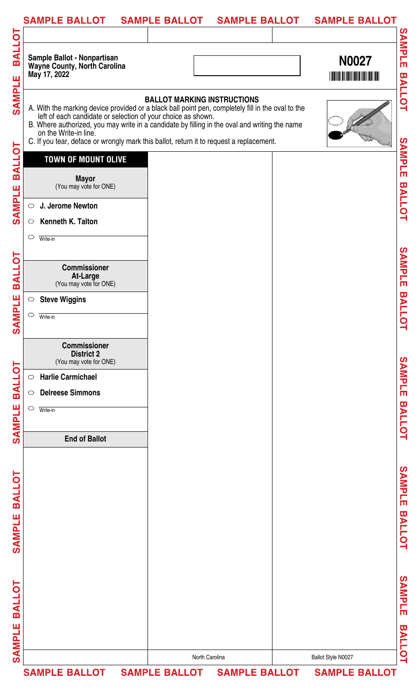|                             | <b>SAMPLE BALLOT</b>                                                                                                                                                                                                                                                                                                                                                                   | <b>SAMPLE BALLOT</b>               | <b>SAMPLE BALLOT</b> | <b>SAMPLE BALLOT</b> |                                          |
|-----------------------------|----------------------------------------------------------------------------------------------------------------------------------------------------------------------------------------------------------------------------------------------------------------------------------------------------------------------------------------------------------------------------------------|------------------------------------|----------------------|----------------------|------------------------------------------|
|                             |                                                                                                                                                                                                                                                                                                                                                                                        |                                    |                      |                      |                                          |
| <b>TOJIRE</b>               | Sample Ballot - Nonpartisan<br><b>Wayne County, North Carolina</b><br>May 17, 2022                                                                                                                                                                                                                                                                                                     |                                    |                      | <b>N0027</b>         | <b>SAMPLE</b>                            |
| SAMPLE                      | A. With the marking device provided or a black ball point pen, completely fill in the oval to the<br>left of each candidate or selection of your choice as shown.<br>B. Where authorized, you may write in a candidate by filling in the oval and writing the name<br>on the Write-in line.<br>C. If you tear, deface or wrongly mark this ballot, return it to request a replacement. | <b>BALLOT MARKING INSTRUCTIONS</b> |                      |                      | <b>BALLOT</b>                            |
| <b>BALLOT</b>               | <b>TOWN OF MOUNT OLIVE</b><br><b>Mayor</b><br>(You may vote for ONE)                                                                                                                                                                                                                                                                                                                   |                                    |                      |                      | SAMPLE                                   |
| SAMPLE                      | J. Jerome Newton<br>$\circ$<br>Kenneth K. Talton<br>$\circ$                                                                                                                                                                                                                                                                                                                            |                                    |                      |                      | <b>BALLOT</b>                            |
|                             | $\circ$<br>Write-in<br><b>Commissioner</b>                                                                                                                                                                                                                                                                                                                                             |                                    |                      |                      | SAMPLE                                   |
| <b>BALLOT</b>               | At-Large<br>(You may vote for ONE)<br><b>Steve Wiggins</b><br>$\bigcirc$                                                                                                                                                                                                                                                                                                               |                                    |                      |                      |                                          |
| <b>MPLE</b><br>$\mathbf{S}$ | $\circ$<br>Write-in                                                                                                                                                                                                                                                                                                                                                                    |                                    |                      |                      | <b>BALLC</b><br>Ч                        |
|                             | <b>Commissioner</b><br><b>District 2</b><br>(You may vote for ONE)<br><b>Harlie Carmichael</b>                                                                                                                                                                                                                                                                                         |                                    |                      |                      | <b>SAMPLE</b>                            |
| <b>BALLOT</b>               | $\circlearrowright$<br><b>Delreese Simmons</b><br>$\circ$<br>$\circ$<br>Write-in                                                                                                                                                                                                                                                                                                       |                                    |                      |                      |                                          |
| <b>SAMPLE</b>               | <b>End of Ballot</b>                                                                                                                                                                                                                                                                                                                                                                   |                                    |                      |                      | <b>BALLOT</b>                            |
| <b>BALLOT</b>               |                                                                                                                                                                                                                                                                                                                                                                                        |                                    |                      |                      | <b>SAMPLE</b>                            |
| SAMPLE                      |                                                                                                                                                                                                                                                                                                                                                                                        |                                    |                      |                      | <b>BALLOT</b>                            |
| <b>BALLOT</b><br>Ш          |                                                                                                                                                                                                                                                                                                                                                                                        |                                    |                      |                      | <b>SAMPLE</b><br>$\overline{\mathbf{u}}$ |
| <b>SAMPL</b>                |                                                                                                                                                                                                                                                                                                                                                                                        |                                    |                      |                      | <b>ALLOT</b>                             |
|                             |                                                                                                                                                                                                                                                                                                                                                                                        | North Carolina                     |                      | Ballot Style N0027   |                                          |
|                             | <b>SAMPLE BALLOT</b>                                                                                                                                                                                                                                                                                                                                                                   | <b>SAMPLE BALLOT</b>               | <b>SAMPLE BALLOT</b> | <b>SAMPLE BALLOT</b> |                                          |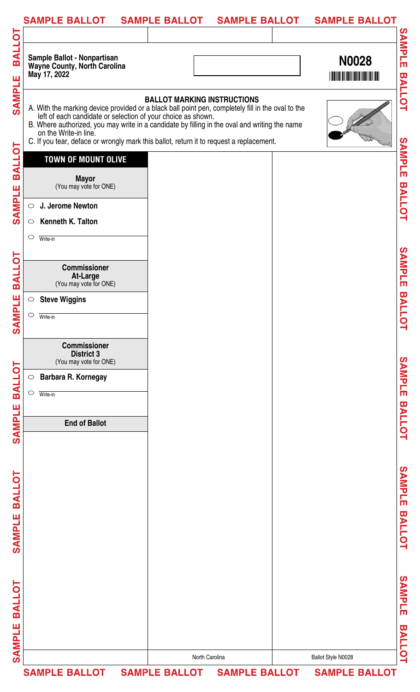|                                | <b>SAMPLE BALLOT</b>                                                                                                                                                                                                                                                                                                                                                                   | <b>SAMPLE BALLOT</b>               | <b>SAMPLE BALLOT</b> | <b>SAMPLE BALLOT</b> |                                          |
|--------------------------------|----------------------------------------------------------------------------------------------------------------------------------------------------------------------------------------------------------------------------------------------------------------------------------------------------------------------------------------------------------------------------------------|------------------------------------|----------------------|----------------------|------------------------------------------|
|                                |                                                                                                                                                                                                                                                                                                                                                                                        |                                    |                      |                      |                                          |
| <b>TOJIAR</b>                  | Sample Ballot - Nonpartisan<br><b>Wayne County, North Carolina</b><br>May 17, 2022                                                                                                                                                                                                                                                                                                     |                                    |                      | <b>N0028</b>         | <b>SAMPLE</b>                            |
| <b>SAMPLE</b>                  | A. With the marking device provided or a black ball point pen, completely fill in the oval to the<br>left of each candidate or selection of your choice as shown.<br>B. Where authorized, you may write in a candidate by filling in the oval and writing the name<br>on the Write-in line.<br>C. If you tear, deface or wrongly mark this ballot, return it to request a replacement. | <b>BALLOT MARKING INSTRUCTIONS</b> |                      |                      | <b>BALLOT</b>                            |
| <b>BALLOT</b><br><b>SAMPLE</b> | <b>TOWN OF MOUNT OLIVE</b><br><b>Mayor</b><br>(You may vote for ONE)<br>J. Jerome Newton<br>$\circ$                                                                                                                                                                                                                                                                                    |                                    |                      |                      | SAMPLE<br><b>BALLOT</b>                  |
|                                | <b>Kenneth K. Talton</b><br>$\circ$<br>$\circ$<br>Write-in                                                                                                                                                                                                                                                                                                                             |                                    |                      |                      |                                          |
| <b>BALLOT</b>                  | <b>Commissioner</b><br>At-Large<br>(You may vote for ONE)                                                                                                                                                                                                                                                                                                                              |                                    |                      |                      | SAMPLE                                   |
| MPLE<br>$\mathbf{\mathcal{S}}$ | <b>Steve Wiggins</b><br>$\bigcirc$<br>$\circ$<br>Write-in                                                                                                                                                                                                                                                                                                                              |                                    |                      |                      | <b>BALLC</b><br>Ч                        |
|                                | <b>Commissioner</b><br><b>District 3</b><br>(You may vote for ONE)                                                                                                                                                                                                                                                                                                                     |                                    |                      |                      |                                          |
| <b>BALLOT</b>                  | Barbara R. Kornegay<br>$\bigcirc$<br>$\circ$<br>Write-in                                                                                                                                                                                                                                                                                                                               |                                    |                      |                      | SAMPLE                                   |
| <b>SAMPLE</b>                  | <b>End of Ballot</b>                                                                                                                                                                                                                                                                                                                                                                   |                                    |                      |                      | <b>BALLOT</b>                            |
| <b>BALLOT</b><br><b>SAMPLE</b> |                                                                                                                                                                                                                                                                                                                                                                                        |                                    |                      |                      | <b>SAMPLE</b><br><b>BALLOT</b>           |
| <b>BALLOT</b><br>Ш             |                                                                                                                                                                                                                                                                                                                                                                                        |                                    |                      |                      | <b>SAMPLE</b><br>$\overline{\mathbf{u}}$ |
| <b>SAMPL</b>                   |                                                                                                                                                                                                                                                                                                                                                                                        | North Carolina                     |                      | Ballot Style N0028   | <b>ALLOT</b>                             |
|                                | SAMPLE BALLOT SAMPLE BALLOT SAMPLE BALLOT SAMPLE BALLOT                                                                                                                                                                                                                                                                                                                                |                                    |                      |                      |                                          |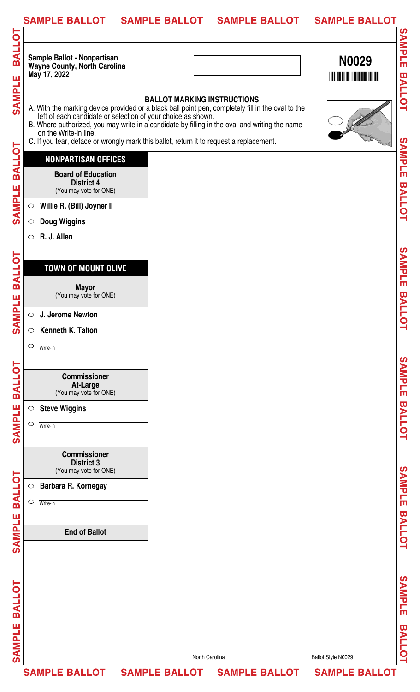|                                | <b>SAMPLE BALLOT</b>                                                                                                                                                                                                                                                                                                                                                                   | <b>SAMPLE BALLOT</b>               | <b>SAMPLE BALLOT</b> |                    | <b>SAMPLE BALLOT</b> |                                   |
|--------------------------------|----------------------------------------------------------------------------------------------------------------------------------------------------------------------------------------------------------------------------------------------------------------------------------------------------------------------------------------------------------------------------------------|------------------------------------|----------------------|--------------------|----------------------|-----------------------------------|
| <b>TOJIRE</b>                  | Sample Ballot - Nonpartisan<br><b>Wayne County, North Carolina</b><br>May 17, 2022                                                                                                                                                                                                                                                                                                     |                                    |                      |                    | N0029                | SAMPLE                            |
| SAMPLE                         | A. With the marking device provided or a black ball point pen, completely fill in the oval to the<br>left of each candidate or selection of your choice as shown.<br>B. Where authorized, you may write in a candidate by filling in the oval and writing the name<br>on the Write-in line.<br>C. If you tear, deface or wrongly mark this ballot, return it to request a replacement. | <b>BALLOT MARKING INSTRUCTIONS</b> |                      |                    |                      | <b>BALLOT</b>                     |
| <b>BALLOT</b><br><b>SAMPLE</b> | <b>NONPARTISAN OFFICES</b><br><b>Board of Education</b><br><b>District 4</b><br>(You may vote for ONE)<br>Willie R. (Bill) Joyner II<br>$\circ$                                                                                                                                                                                                                                        |                                    |                      |                    |                      | SAMPLE<br><b>BALLOT</b>           |
|                                | <b>Doug Wiggins</b><br>$\circ$<br>R. J. Allen<br>$\circ$                                                                                                                                                                                                                                                                                                                               |                                    |                      |                    |                      |                                   |
| <b>BALLOT</b><br>MPLE          | <b>TOWN OF MOUNT OLIVE</b><br><b>Mayor</b><br>(You may vote for ONE)                                                                                                                                                                                                                                                                                                                   |                                    |                      |                    |                      | SAMPLE<br><b>BALLOT</b>           |
| $\mathbf{S}$                   | J. Jerome Newton<br>$\bigcirc$<br>Kenneth K. Talton<br>$\circ$<br>$\circ$<br>Write-in                                                                                                                                                                                                                                                                                                  |                                    |                      |                    |                      |                                   |
| <b>TOJIRE</b>                  | <b>Commissioner</b><br>At-Large<br>(You may vote for ONE)                                                                                                                                                                                                                                                                                                                              |                                    |                      |                    |                      | SAMPLE                            |
| SAMPLE                         | <b>Steve Wiggins</b><br>$\bigcirc$<br>$\circ$<br>Write-in                                                                                                                                                                                                                                                                                                                              |                                    |                      |                    |                      | <b>BALLOT</b>                     |
|                                | <b>Commissioner</b><br><b>District 3</b><br>(You may vote for ONE)<br>Barbara R. Kornegay<br>$\circ$                                                                                                                                                                                                                                                                                   |                                    |                      |                    |                      | SAMPLE                            |
| <b>BALLOT</b>                  | $\circ$<br>Write-in                                                                                                                                                                                                                                                                                                                                                                    |                                    |                      |                    |                      | <b>BALLOT</b>                     |
| SAMPLE                         | <b>End of Ballot</b>                                                                                                                                                                                                                                                                                                                                                                   |                                    |                      |                    |                      |                                   |
| <b>BALLOT</b><br>ш             |                                                                                                                                                                                                                                                                                                                                                                                        |                                    |                      |                    |                      | SAMPLE<br>$\overline{\mathbf{u}}$ |
| <b>SAMPL</b>                   |                                                                                                                                                                                                                                                                                                                                                                                        | North Carolina                     |                      | Ballot Style N0029 |                      | <b>ALLOT</b>                      |
|                                | <b>SAMPLE BALLOT</b>                                                                                                                                                                                                                                                                                                                                                                   | SAMPLE BALLOT SAMPLE BALLOT        |                      |                    | <b>SAMPLE BALLOT</b> |                                   |